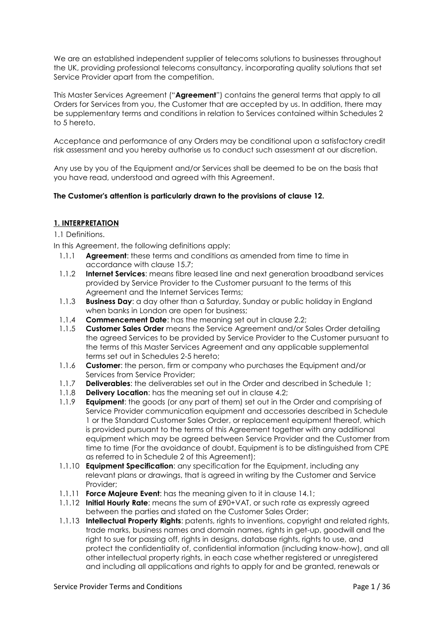We are an established independent supplier of telecoms solutions to businesses throughout the UK, providing professional telecoms consultancy, incorporating quality solutions that set Service Provider apart from the competition.

This Master Services Agreement ("**Agreement**") contains the general terms that apply to all Orders for Services from you, the Customer that are accepted by us. In addition, there may be supplementary terms and conditions in relation to Services contained within Schedules 2 to 5 hereto.

Acceptance and performance of any Orders may be conditional upon a satisfactory credit risk assessment and you hereby authorise us to conduct such assessment at our discretion.

Any use by you of the Equipment and/or Services shall be deemed to be on the basis that you have read, understood and agreed with this Agreement.

# **The Customer's attention is particularly drawn to the provisions of clause 12.**

# **1. INTERPRETATION**

1.1 Definitions.

In this Agreement, the following definitions apply:

- 1.1.1 **Agreement**: these terms and conditions as amended from time to time in accordance with clause 15.7;
- 1.1.2 **Internet Services**: means fibre leased line and next generation broadband services provided by Service Provider to the Customer pursuant to the terms of this Agreement and the Internet Services Terms;
- 1.1.3 **Business Day**: a day other than a Saturday, Sunday or public holiday in England when banks in London are open for business;
- 1.1.4 **Commencement Date**: has the meaning set out in clause 2.2;
- 1.1.5 **Customer Sales Order** means the Service Agreement and/or Sales Order detailing the agreed Services to be provided by Service Provider to the Customer pursuant to the terms of this Master Services Agreement and any applicable supplemental terms set out in Schedules 2-5 hereto;
- 1.1.6 **Customer**: the person, firm or company who purchases the Equipment and/or Services from Service Provider;
- 1.1.7 **Deliverables**: the deliverables set out in the Order and described in Schedule 1;
- 1.1.8 **Delivery Location**: has the meaning set out in clause 4.2;
- 1.1.9 **Equipment**: the goods (or any part of them) set out in the Order and comprising of Service Provider communication equipment and accessories described in Schedule 1 or the Standard Customer Sales Order, or replacement equipment thereof, which is provided pursuant to the terms of this Agreement together with any additional equipment which may be agreed between Service Provider and the Customer from time to time (For the avoidance of doubt, Equipment is to be distinguished from CPE as referred to in Schedule 2 of this Agreement);
- 1.1.10 **Equipment Specification**: any specification for the Equipment, including any relevant plans or drawings, that is agreed in writing by the Customer and Service Provider;
- 1.1.11 **Force Majeure Event**: has the meaning given to it in clause 14.1;
- 1.1.12 **Initial Hourly Rate**: means the sum of £90+VAT, or such rate as expressly agreed between the parties and stated on the Customer Sales Order;
- 1.1.13 **Intellectual Property Rights**: patents, rights to inventions, copyright and related rights, trade marks, business names and domain names, rights in get-up, goodwill and the right to sue for passing off, rights in designs, database rights, rights to use, and protect the confidentiality of, confidential information (including know-how), and all other intellectual property rights, in each case whether registered or unregistered and including all applications and rights to apply for and be granted, renewals or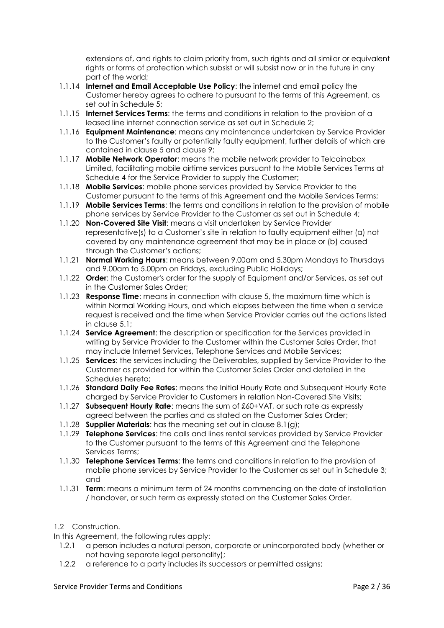extensions of, and rights to claim priority from, such rights and all similar or equivalent rights or forms of protection which subsist or will subsist now or in the future in any part of the world;

- 1.1.14 **Internet and Email Acceptable Use Policy**: the internet and email policy the Customer hereby agrees to adhere to pursuant to the terms of this Agreement, as set out in Schedule 5;
- 1.1.15 **Internet Services Terms**: the terms and conditions in relation to the provision of a leased line internet connection service as set out in Schedule 2;
- 1.1.16 **Equipment Maintenance**: means any maintenance undertaken by Service Provider to the Customer's faulty or potentially faulty equipment, further details of which are contained in clause 5 and clause 9;
- 1.1.17 **Mobile Network Operator**: means the mobile network provider to Telcoinabox Limited, facilitating mobile airtime services pursuant to the Mobile Services Terms at Schedule 4 for the Service Provider to supply the Customer;
- 1.1.18 **Mobile Services**: mobile phone services provided by Service Provider to the Customer pursuant to the terms of this Agreement and the Mobile Services Terms;
- 1.1.19 **Mobile Services Terms**: the terms and conditions in relation to the provision of mobile phone services by Service Provider to the Customer as set out in Schedule 4;
- 1.1.20 **Non-Covered Site Visit**: means a visit undertaken by Service Provider representative(s) to a Customer's site in relation to faulty equipment either (a) not covered by any maintenance agreement that may be in place or (b) caused through the Customer's actions;
- 1.1.21 **Normal Working Hours**: means between 9.00am and 5.30pm Mondays to Thursdays and 9.00am to 5.00pm on Fridays, excluding Public Holidays;
- 1.1.22 **Order**: the Customer's order for the supply of Equipment and/or Services, as set out in the Customer Sales Order;
- 1.1.23 **Response Time**: means in connection with clause 5, the maximum time which is within Normal Working Hours, and which elapses between the time when a service request is received and the time when Service Provider carries out the actions listed in clause 5.1;
- 1.1.24 **Service Agreement**: the description or specification for the Services provided in writing by Service Provider to the Customer within the Customer Sales Order, that may include Internet Services, Telephone Services and Mobile Services;
- 1.1.25 **Services**: the services including the Deliverables, supplied by Service Provider to the Customer as provided for within the Customer Sales Order and detailed in the Schedules hereto;
- 1.1.26 **Standard Daily Fee Rates**: means the Initial Hourly Rate and Subsequent Hourly Rate charged by Service Provider to Customers in relation Non-Covered Site Visits;
- 1.1.27 **Subsequent Hourly Rate**: means the sum of £60+VAT, or such rate as expressly agreed between the parties and as stated on the Customer Sales Order;
- 1.1.28 **Supplier Materials**: has the meaning set out in clause 8.1(g);
- 1.1.29 **Telephone Services**: the calls and lines rental services provided by Service Provider to the Customer pursuant to the terms of this Agreement and the Telephone Services Terms;
- 1.1.30 **Telephone Services Terms**: the terms and conditions in relation to the provision of mobile phone services by Service Provider to the Customer as set out in Schedule 3; and
- 1.1.31 **Term**: means a minimum term of 24 months commencing on the date of installation / handover, or such term as expressly stated on the Customer Sales Order.

# 1.2 Construction.

In this Agreement, the following rules apply:

- 1.2.1 a person includes a natural person, corporate or unincorporated body (whether or not having separate legal personality);
- 1.2.2 a reference to a party includes its successors or permitted assigns;

## Service Provider Terms and Conditions **Page 2** / 36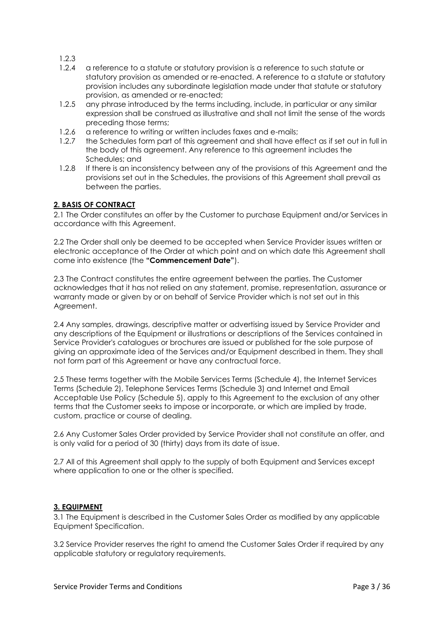1.2.3

- 1.2.4 a reference to a statute or statutory provision is a reference to such statute or statutory provision as amended or re-enacted. A reference to a statute or statutory provision includes any subordinate legislation made under that statute or statutory provision, as amended or re-enacted;
- 1.2.5 any phrase introduced by the terms including, include, in particular or any similar expression shall be construed as illustrative and shall not limit the sense of the words preceding those terms;
- 1.2.6 a reference to writing or written includes faxes and e-mails;
- 1.2.7 the Schedules form part of this agreement and shall have effect as if set out in full in the body of this agreement. Any reference to this agreement includes the Schedules; and
- 1.2.8 If there is an inconsistency between any of the provisions of this Agreement and the provisions set out in the Schedules, the provisions of this Agreement shall prevail as between the parties.

# **2. BASIS OF CONTRACT**

2.1 The Order constitutes an offer by the Customer to purchase Equipment and/or Services in accordance with this Agreement.

2.2 The Order shall only be deemed to be accepted when Service Provider issues written or electronic acceptance of the Order at which point and on which date this Agreement shall come into existence (the **"Commencement Date"**).

2.3 The Contract constitutes the entire agreement between the parties. The Customer acknowledges that it has not relied on any statement, promise, representation, assurance or warranty made or given by or on behalf of Service Provider which is not set out in this Agreement.

2.4 Any samples, drawings, descriptive matter or advertising issued by Service Provider and any descriptions of the Equipment or illustrations or descriptions of the Services contained in Service Provider's catalogues or brochures are issued or published for the sole purpose of giving an approximate idea of the Services and/or Equipment described in them. They shall not form part of this Agreement or have any contractual force.

2.5 These terms together with the Mobile Services Terms (Schedule 4), the Internet Services Terms (Schedule 2), Telephone Services Terms (Schedule 3) and Internet and Email Acceptable Use Policy (Schedule 5), apply to this Agreement to the exclusion of any other terms that the Customer seeks to impose or incorporate, or which are implied by trade, custom, practice or course of dealing.

2.6 Any Customer Sales Order provided by Service Provider shall not constitute an offer, and is only valid for a period of 30 (thirty) days from its date of issue.

2.7 All of this Agreement shall apply to the supply of both Equipment and Services except where application to one or the other is specified.

# **3. EQUIPMENT**

3.1 The Equipment is described in the Customer Sales Order as modified by any applicable Equipment Specification.

3.2 Service Provider reserves the right to amend the Customer Sales Order if required by any applicable statutory or regulatory requirements.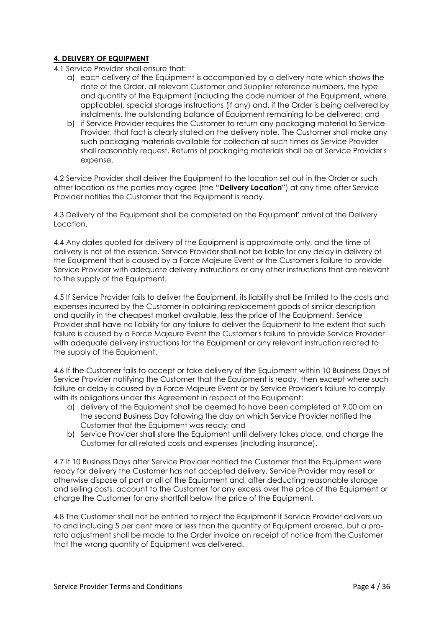# **4. DELIVERY OF EQUIPMENT**

- 4.1 Service Provider shall ensure that:
	- a) each delivery of the Equipment is accompanied by a delivery note which shows the date of the Order, all relevant Customer and Supplier reference numbers, the type and quantity of the Equipment (including the code number of the Equipment, where applicable), special storage instructions (if any) and, if the Order is being delivered by instalments, the outstanding balance of Equipment remaining to be delivered; and
	- b) if Service Provider requires the Customer to return any packaging material to Service Provider, that fact is clearly stated on the delivery note. The Customer shall make any such packaging materials available for collection at such times as Service Provider shall reasonably request. Returns of packaging materials shall be at Service Provider's expense.

4.2 Service Provider shall deliver the Equipment to the location set out in the Order or such other location as the parties may agree (the "**Delivery Location"**) at any time after Service Provider notifies the Customer that the Equipment is ready.

4.3 Delivery of the Equipment shall be completed on the Equipment' arrival at the Delivery Location.

4.4 Any dates quoted for delivery of the Equipment is approximate only, and the time of delivery is not of the essence. Service Provider shall not be liable for any delay in delivery of the Equipment that is caused by a Force Majeure Event or the Customer's failure to provide Service Provider with adequate delivery instructions or any other instructions that are relevant to the supply of the Equipment.

4.5 If Service Provider fails to deliver the Equipment, its liability shall be limited to the costs and expenses incurred by the Customer in obtaining replacement goods of similar description and quality in the cheapest market available, less the price of the Equipment. Service Provider shall have no liability for any failure to deliver the Equipment to the extent that such failure is caused by a Force Majeure Event the Customer's failure to provide Service Provider with adequate delivery instructions for the Equipment or any relevant instruction related to the supply of the Equipment.

4.6 If the Customer fails to accept or take delivery of the Equipment within 10 Business Days of Service Provider notifying the Customer that the Equipment is ready, then except where such failure or delay is caused by a Force Majeure Event or by Service Provider's failure to comply with its obligations under this Agreement in respect of the Equipment:

- a) delivery of the Equipment shall be deemed to have been completed at 9.00 am on the second Business Day following the day on which Service Provider notified the Customer that the Equipment was ready; and
- b) Service Provider shall store the Equipment until delivery takes place, and charge the Customer for all related costs and expenses (including insurance).

4.7 If 10 Business Days after Service Provider notified the Customer that the Equipment were ready for delivery the Customer has not accepted delivery, Service Provider may resell or otherwise dispose of part or all of the Equipment and, after deducting reasonable storage and selling costs, account to the Customer for any excess over the price of the Equipment or charge the Customer for any shortfall below the price of the Equipment.

4.8 The Customer shall not be entitled to reject the Equipment if Service Provider delivers up to and including 5 per cent more or less than the quantity of Equipment ordered, but a prorata adjustment shall be made to the Order invoice on receipt of notice from the Customer that the wrong quantity of Equipment was delivered.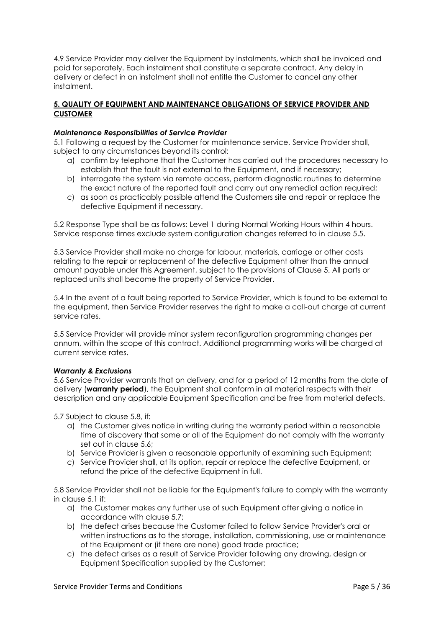4.9 Service Provider may deliver the Equipment by instalments, which shall be invoiced and paid for separately. Each instalment shall constitute a separate contract. Any delay in delivery or defect in an instalment shall not entitle the Customer to cancel any other instalment.

# **5. QUALITY OF EQUIPMENT AND MAINTENANCE OBLIGATIONS OF SERVICE PROVIDER AND CUSTOMER**

## *Maintenance Responsibilities of Service Provider*

5.1 Following a request by the Customer for maintenance service, Service Provider shall, subject to any circumstances beyond its control:

- a) confirm by telephone that the Customer has carried out the procedures necessary to establish that the fault is not external to the Equipment, and if necessary;
- b) interrogate the system via remote access, perform diagnostic routines to determine the exact nature of the reported fault and carry out any remedial action required;
- c) as soon as practicably possible attend the Customers site and repair or replace the defective Equipment if necessary.

5.2 Response Type shall be as follows: Level 1 during Normal Working Hours within 4 hours. Service response times exclude system configuration changes referred to in clause 5.5.

5.3 Service Provider shall make no charge for labour, materials, carriage or other costs relating to the repair or replacement of the defective Equipment other than the annual amount payable under this Agreement, subject to the provisions of Clause 5. All parts or replaced units shall become the property of Service Provider.

5.4 In the event of a fault being reported to Service Provider, which is found to be external to the equipment, then Service Provider reserves the right to make a call-out charge at current service rates.

5.5 Service Provider will provide minor system reconfiguration programming changes per annum, within the scope of this contract. Additional programming works will be charged at current service rates.

## *Warranty & Exclusions*

5.6 Service Provider warrants that on delivery, and for a period of 12 months from the date of delivery (**warranty period**), the Equipment shall conform in all material respects with their description and any applicable Equipment Specification and be free from material defects.

5.7 Subject to clause 5.8, if:

- a) the Customer gives notice in writing during the warranty period within a reasonable time of discovery that some or all of the Equipment do not comply with the warranty set out in clause 5.6;
- b) Service Provider is given a reasonable opportunity of examining such Equipment;
- c) Service Provider shall, at its option, repair or replace the defective Equipment, or refund the price of the defective Equipment in full.

5.8 Service Provider shall not be liable for the Equipment's failure to comply with the warranty in clause 5.1 if:

- a) the Customer makes any further use of such Equipment after giving a notice in accordance with clause 5.7;
- b) the defect arises because the Customer failed to follow Service Provider's oral or written instructions as to the storage, installation, commissioning, use or maintenance of the Equipment or (if there are none) good trade practice;
- c) the defect arises as a result of Service Provider following any drawing, design or Equipment Specification supplied by the Customer;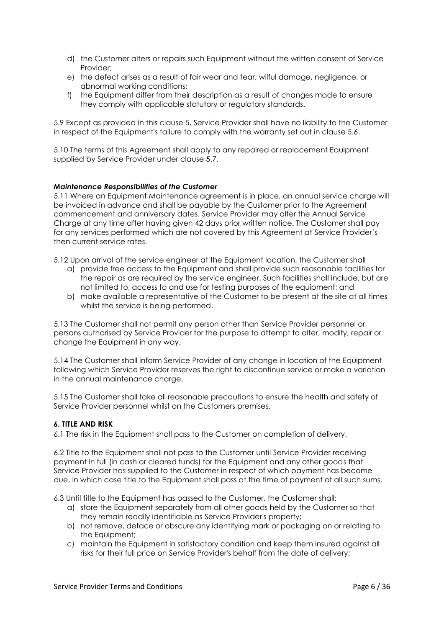- d) the Customer alters or repairs such Equipment without the written consent of Service Provider;
- e) the defect arises as a result of fair wear and tear, wilful damage, negligence, or abnormal working conditions;
- f) the Equipment differ from their description as a result of changes made to ensure they comply with applicable statutory or regulatory standards.

5.9 Except as provided in this clause 5, Service Provider shall have no liability to the Customer in respect of the Equipment's failure to comply with the warranty set out in clause 5.6.

5.10 The terms of this Agreement shall apply to any repaired or replacement Equipment supplied by Service Provider under clause 5.7.

## *Maintenance Responsibilities of the Customer*

5.11 Where an Equipment Maintenance agreement is in place, an annual service charge will be invoiced in advance and shall be payable by the Customer prior to the Agreement commencement and anniversary dates. Service Provider may alter the Annual Service Charge at any time after having given 42 days prior written notice. The Customer shall pay for any services performed which are not covered by this Agreement at Service Provider's then current service rates.

5.12 Upon arrival of the service engineer at the Equipment location, the Customer shall

- a) provide free access to the Equipment and shall provide such reasonable facilities for the repair as are required by the service engineer. Such facilities shall include, but are not limited to, access to and use for testing purposes of the equipment; and
- b) make available a representative of the Customer to be present at the site at all times whilst the service is being performed.

5.13 The Customer shall not permit any person other than Service Provider personnel or persons authorised by Service Provider for the purpose to attempt to alter, modify, repair or change the Equipment in any way.

5.14 The Customer shall inform Service Provider of any change in location of the Equipment following which Service Provider reserves the right to discontinue service or make a variation in the annual maintenance charge.

5.15 The Customer shall take all reasonable precautions to ensure the health and safety of Service Provider personnel whilst on the Customers premises.

## **6. TITLE AND RISK**

6.1 The risk in the Equipment shall pass to the Customer on completion of delivery.

6.2 Title to the Equipment shall not pass to the Customer until Service Provider receiving payment in full (in cash or cleared funds) for the Equipment and any other goods that Service Provider has supplied to the Customer in respect of which payment has become due, in which case title to the Equipment shall pass at the time of payment of all such sums.

6.3 Until title to the Equipment has passed to the Customer, the Customer shall:

- a) store the Equipment separately from all other goods held by the Customer so that they remain readily identifiable as Service Provider's property;
- b) not remove, deface or obscure any identifying mark or packaging on or relating to the Equipment;
- c) maintain the Equipment in satisfactory condition and keep them insured against all risks for their full price on Service Provider's behalf from the date of delivery;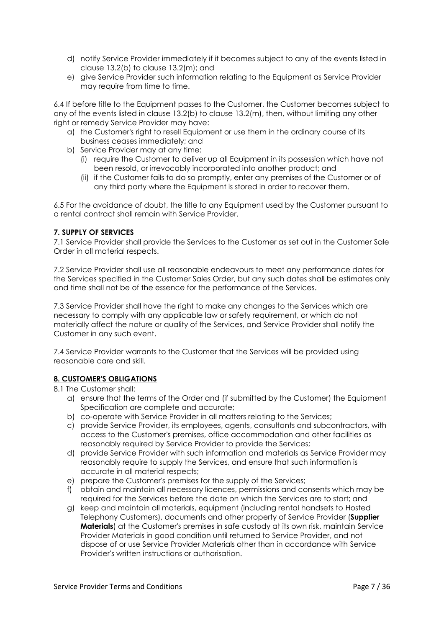- d) notify Service Provider immediately if it becomes subject to any of the events listed in clause 13.2(b) to clause 13.2(m); and
- e) give Service Provider such information relating to the Equipment as Service Provider may require from time to time.

6.4 If before title to the Equipment passes to the Customer, the Customer becomes subject to any of the events listed in clause 13.2(b) to clause 13.2(m), then, without limiting any other right or remedy Service Provider may have:

- a) the Customer's right to resell Equipment or use them in the ordinary course of its business ceases immediately; and
- b) Service Provider may at any time:
	- (i) require the Customer to deliver up all Equipment in its possession which have not been resold, or irrevocably incorporated into another product; and
	- (ii) if the Customer fails to do so promptly, enter any premises of the Customer or of any third party where the Equipment is stored in order to recover them.

6.5 For the avoidance of doubt, the title to any Equipment used by the Customer pursuant to a rental contract shall remain with Service Provider.

# **7. SUPPLY OF SERVICES**

7.1 Service Provider shall provide the Services to the Customer as set out in the Customer Sale Order in all material respects.

7.2 Service Provider shall use all reasonable endeavours to meet any performance dates for the Services specified in the Customer Sales Order, but any such dates shall be estimates only and time shall not be of the essence for the performance of the Services.

7.3 Service Provider shall have the right to make any changes to the Services which are necessary to comply with any applicable law or safety requirement, or which do not materially affect the nature or quality of the Services, and Service Provider shall notify the Customer in any such event.

7.4 Service Provider warrants to the Customer that the Services will be provided using reasonable care and skill.

# **8. CUSTOMER'S OBLIGATIONS**

# 8.1 The Customer shall:

- a) ensure that the terms of the Order and (if submitted by the Customer) the Equipment Specification are complete and accurate;
- b) co-operate with Service Provider in all matters relating to the Services;
- c) provide Service Provider, its employees, agents, consultants and subcontractors, with access to the Customer's premises, office accommodation and other facilities as reasonably required by Service Provider to provide the Services;
- d) provide Service Provider with such information and materials as Service Provider may reasonably require to supply the Services, and ensure that such information is accurate in all material respects;
- e) prepare the Customer's premises for the supply of the Services;
- f) obtain and maintain all necessary licences, permissions and consents which may be required for the Services before the date on which the Services are to start; and
- g) keep and maintain all materials, equipment (including rental handsets to Hosted Telephony Customers), documents and other property of Service Provider (**Supplier Materials**) at the Customer's premises in safe custody at its own risk, maintain Service Provider Materials in good condition until returned to Service Provider, and not dispose of or use Service Provider Materials other than in accordance with Service Provider's written instructions or authorisation.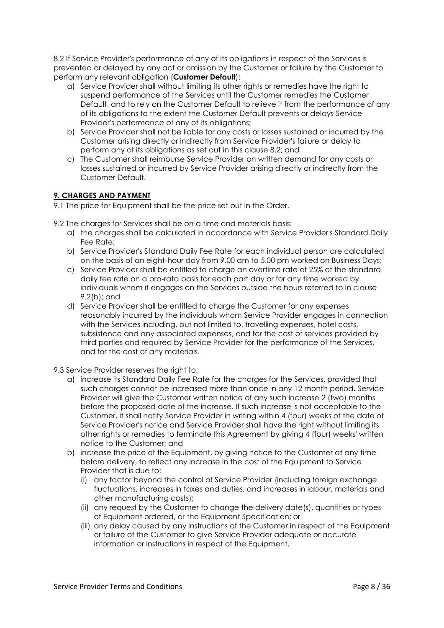8.2 If Service Provider's performance of any of its obligations in respect of the Services is prevented or delayed by any act or omission by the Customer or failure by the Customer to perform any relevant obligation (**Customer Default**):

- a) Service Provider shall without limiting its other rights or remedies have the right to suspend performance of the Services until the Customer remedies the Customer Default, and to rely on the Customer Default to relieve it from the performance of any of its obligations to the extent the Customer Default prevents or delays Service Provider's performance of any of its obligations;
- b) Service Provider shall not be liable for any costs or losses sustained or incurred by the Customer arising directly or indirectly from Service Provider's failure or delay to perform any of its obligations as set out in this clause 8.2; and
- c) The Customer shall reimburse Service Provider on written demand for any costs or losses sustained or incurred by Service Provider arising directly or indirectly from the Customer Default.

# **9. CHARGES AND PAYMENT**

- 9.1 The price for Equipment shall be the price set out in the Order.
- 9.2 The charges for Services shall be on a time and materials basis:
	- a) the charges shall be calculated in accordance with Service Provider's Standard Daily Fee Rate;
	- b) Service Provider's Standard Daily Fee Rate for each individual person are calculated on the basis of an eight-hour day from 9.00 am to 5.00 pm worked on Business Days;
	- c) Service Provider shall be entitled to charge an overtime rate of 25% of the standard daily fee rate on a pro-rata basis for each part day or for any time worked by individuals whom it engages on the Services outside the hours referred to in clause 9.2(b); and
	- d) Service Provider shall be entitled to charge the Customer for any expenses reasonably incurred by the individuals whom Service Provider engages in connection with the Services including, but not limited to, travelling expenses, hotel costs, subsistence and any associated expenses, and for the cost of services provided by third parties and required by Service Provider for the performance of the Services, and for the cost of any materials.
- 9.3 Service Provider reserves the right to:
	- a) increase its Standard Daily Fee Rate for the charges for the Services, provided that such charges cannot be increased more than once in any 12 month period. Service Provider will give the Customer written notice of any such increase 2 (two) months before the proposed date of the increase. If such increase is not acceptable to the Customer, it shall notify Service Provider in writing within 4 (four) weeks of the date of Service Provider's notice and Service Provider shall have the right without limiting its other rights or remedies to terminate this Agreement by giving 4 (four) weeks' written notice to the Customer; and
	- b) increase the price of the Equipment, by giving notice to the Customer at any time before delivery, to reflect any increase in the cost of the Equipment to Service Provider that is due to:
		- (i) any factor beyond the control of Service Provider (including foreign exchange fluctuations, increases in taxes and duties, and increases in labour, materials and other manufacturing costs);
		- (ii) any request by the Customer to change the delivery date(s), quantities or types of Equipment ordered, or the Equipment Specification; or
		- (iii) any delay caused by any instructions of the Customer in respect of the Equipment or failure of the Customer to give Service Provider adequate or accurate information or instructions in respect of the Equipment.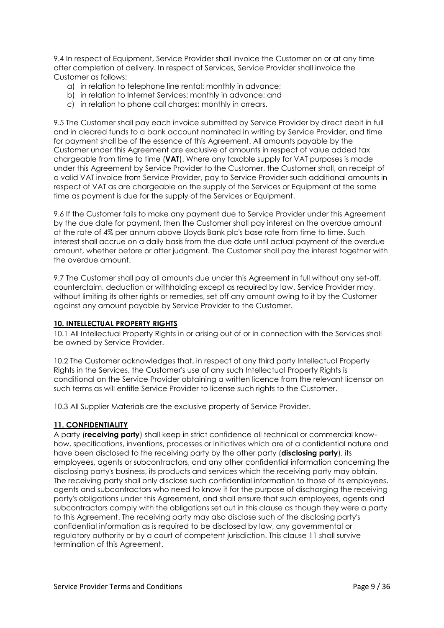9.4 In respect of Equipment, Service Provider shall invoice the Customer on or at any time after completion of delivery. In respect of Services, Service Provider shall invoice the Customer as follows:

- a) in relation to telephone line rental: monthly in advance;
- b) in relation to Internet Services: monthly in advance; and
- c) in relation to phone call charges: monthly in arrears.

9.5 The Customer shall pay each invoice submitted by Service Provider by direct debit in full and in cleared funds to a bank account nominated in writing by Service Provider, and time for payment shall be of the essence of this Agreement. All amounts payable by the Customer under this Agreement are exclusive of amounts in respect of value added tax chargeable from time to time (**VAT**). Where any taxable supply for VAT purposes is made under this Agreement by Service Provider to the Customer, the Customer shall, on receipt of a valid VAT invoice from Service Provider, pay to Service Provider such additional amounts in respect of VAT as are chargeable on the supply of the Services or Equipment at the same time as payment is due for the supply of the Services or Equipment.

9.6 If the Customer fails to make any payment due to Service Provider under this Agreement by the due date for payment, then the Customer shall pay interest on the overdue amount at the rate of 4% per annum above Lloyds Bank plc's base rate from time to time. Such interest shall accrue on a daily basis from the due date until actual payment of the overdue amount, whether before or after judgment. The Customer shall pay the interest together with the overdue amount.

9.7 The Customer shall pay all amounts due under this Agreement in full without any set-off, counterclaim, deduction or withholding except as required by law. Service Provider may, without limiting its other rights or remedies, set off any amount owing to it by the Customer against any amount payable by Service Provider to the Customer.

## **10. INTELLECTUAL PROPERTY RIGHTS**

10.1 All Intellectual Property Rights in or arising out of or in connection with the Services shall be owned by Service Provider.

10.2 The Customer acknowledges that, in respect of any third party Intellectual Property Rights in the Services, the Customer's use of any such Intellectual Property Rights is conditional on the Service Provider obtaining a written licence from the relevant licensor on such terms as will entitle Service Provider to license such rights to the Customer.

10.3 All Supplier Materials are the exclusive property of Service Provider.

## **11. CONFIDENTIALITY**

A party (**receiving party**) shall keep in strict confidence all technical or commercial knowhow, specifications, inventions, processes or initiatives which are of a confidential nature and have been disclosed to the receiving party by the other party (**disclosing party**), its employees, agents or subcontractors, and any other confidential information concerning the disclosing party's business, its products and services which the receiving party may obtain. The receiving party shall only disclose such confidential information to those of its employees, agents and subcontractors who need to know it for the purpose of discharging the receiving party's obligations under this Agreement, and shall ensure that such employees, agents and subcontractors comply with the obligations set out in this clause as though they were a party to this Agreement. The receiving party may also disclose such of the disclosing party's confidential information as is required to be disclosed by law, any governmental or regulatory authority or by a court of competent jurisdiction. This clause 11 shall survive termination of this Agreement.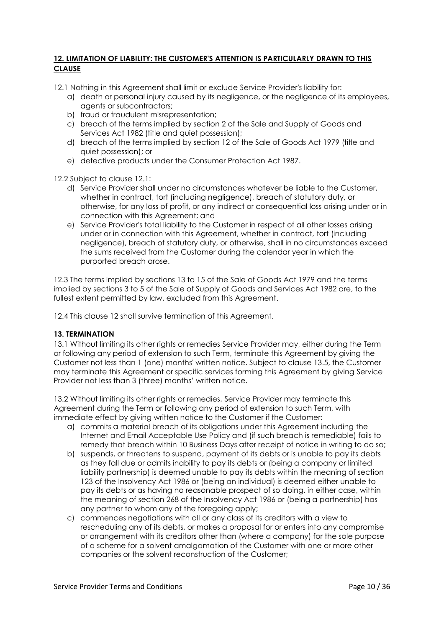# **12. LIMITATION OF LIABILITY: THE CUSTOMER'S ATTENTION IS PARTICULARLY DRAWN TO THIS CLAUSE**

12.1 Nothing in this Agreement shall limit or exclude Service Provider's liability for:

- a) death or personal injury caused by its negligence, or the negligence of its employees, agents or subcontractors;
- b) fraud or fraudulent misrepresentation;
- c) breach of the terms implied by section 2 of the Sale and Supply of Goods and Services Act 1982 (title and quiet possession);
- d) breach of the terms implied by section 12 of the Sale of Goods Act 1979 (title and quiet possession); or
- e) defective products under the Consumer Protection Act 1987.

12.2 Subject to clause 12.1:

- d) Service Provider shall under no circumstances whatever be liable to the Customer, whether in contract, tort (including negligence), breach of statutory duty, or otherwise, for any loss of profit, or any indirect or consequential loss arising under or in connection with this Agreement; and
- e) Service Provider's total liability to the Customer in respect of all other losses arising under or in connection with this Agreement, whether in contract, tort (including negligence), breach of statutory duty, or otherwise, shall in no circumstances exceed the sums received from the Customer during the calendar year in which the purported breach arose.

12.3 The terms implied by sections 13 to 15 of the Sale of Goods Act 1979 and the terms implied by sections 3 to 5 of the Sale of Supply of Goods and Services Act 1982 are, to the fullest extent permitted by law, excluded from this Agreement.

12.4 This clause 12 shall survive termination of this Agreement.

## **13. TERMINATION**

13.1 Without limiting its other rights or remedies Service Provider may, either during the Term or following any period of extension to such Term, terminate this Agreement by giving the Customer not less than 1 (one) months' written notice. Subject to clause 13.5, the Customer may terminate this Agreement or specific services forming this Agreement by giving Service Provider not less than 3 (three) months' written notice.

13.2 Without limiting its other rights or remedies, Service Provider may terminate this Agreement during the Term or following any period of extension to such Term, with immediate effect by giving written notice to the Customer if the Customer:

- a) commits a material breach of its obligations under this Agreement including the Internet and Email Acceptable Use Policy and (if such breach is remediable) fails to remedy that breach within 10 Business Days after receipt of notice in writing to do so;
- b) suspends, or threatens to suspend, payment of its debts or is unable to pay its debts as they fall due or admits inability to pay its debts or (being a company or limited liability partnership) is deemed unable to pay its debts within the meaning of section 123 of the Insolvency Act 1986 or (being an individual) is deemed either unable to pay its debts or as having no reasonable prospect of so doing, in either case, within the meaning of section 268 of the Insolvency Act 1986 or (being a partnership) has any partner to whom any of the foregoing apply;
- c) commences negotiations with all or any class of its creditors with a view to rescheduling any of its debts, or makes a proposal for or enters into any compromise or arrangement with its creditors other than (where a company) for the sole purpose of a scheme for a solvent amalgamation of the Customer with one or more other companies or the solvent reconstruction of the Customer;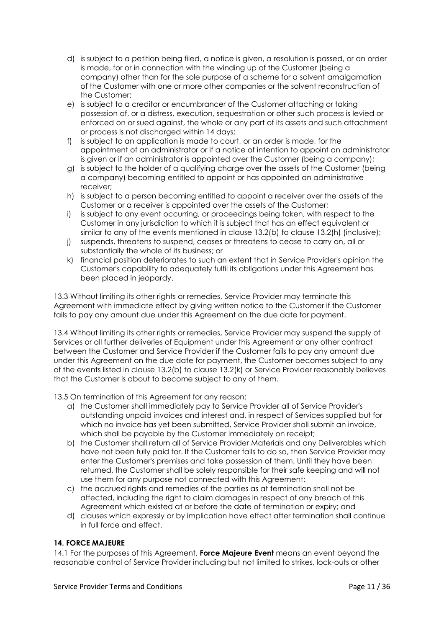- d) is subject to a petition being filed, a notice is given, a resolution is passed, or an order is made, for or in connection with the winding up of the Customer (being a company) other than for the sole purpose of a scheme for a solvent amalgamation of the Customer with one or more other companies or the solvent reconstruction of the Customer;
- e) is subject to a creditor or encumbrancer of the Customer attaching or taking possession of, or a distress, execution, sequestration or other such process is levied or enforced on or sued against, the whole or any part of its assets and such attachment or process is not discharged within 14 days;
- f) is subject to an application is made to court, or an order is made, for the appointment of an administrator or if a notice of intention to appoint an administrator is given or if an administrator is appointed over the Customer (being a company);
- g) is subject to the holder of a qualifying charge over the assets of the Customer (being a company) becoming entitled to appoint or has appointed an administrative receiver;
- h) is subject to a person becoming entitled to appoint a receiver over the assets of the Customer or a receiver is appointed over the assets of the Customer;
- i) is subject to any event occurring, or proceedings being taken, with respect to the Customer in any jurisdiction to which it is subject that has an effect equivalent or similar to any of the events mentioned in clause 13.2(b) to clause 13.2(h) (inclusive);
- j) suspends, threatens to suspend, ceases or threatens to cease to carry on, all or substantially the whole of its business; or
- k) financial position deteriorates to such an extent that in Service Provider's opinion the Customer's capability to adequately fulfil its obligations under this Agreement has been placed in jeopardy.

13.3 Without limiting its other rights or remedies, Service Provider may terminate this Agreement with immediate effect by giving written notice to the Customer if the Customer fails to pay any amount due under this Agreement on the due date for payment.

13.4 Without limiting its other rights or remedies, Service Provider may suspend the supply of Services or all further deliveries of Equipment under this Agreement or any other contract between the Customer and Service Provider if the Customer fails to pay any amount due under this Agreement on the due date for payment, the Customer becomes subject to any of the events listed in clause 13.2(b) to clause 13.2(k) or Service Provider reasonably believes that the Customer is about to become subject to any of them.

13.5 On termination of this Agreement for any reason:

- a) the Customer shall immediately pay to Service Provider all of Service Provider's outstanding unpaid invoices and interest and, in respect of Services supplied but for which no invoice has yet been submitted, Service Provider shall submit an invoice, which shall be payable by the Customer immediately on receipt;
- b) the Customer shall return all of Service Provider Materials and any Deliverables which have not been fully paid for. If the Customer fails to do so, then Service Provider may enter the Customer's premises and take possession of them. Until they have been returned, the Customer shall be solely responsible for their safe keeping and will not use them for any purpose not connected with this Agreement;
- c) the accrued rights and remedies of the parties as at termination shall not be affected, including the right to claim damages in respect of any breach of this Agreement which existed at or before the date of termination or expiry; and
- d) clauses which expressly or by implication have effect after termination shall continue in full force and effect.

# **14. FORCE MAJEURE**

14.1 For the purposes of this Agreement, **Force Majeure Event** means an event beyond the reasonable control of Service Provider including but not limited to strikes, lock-outs or other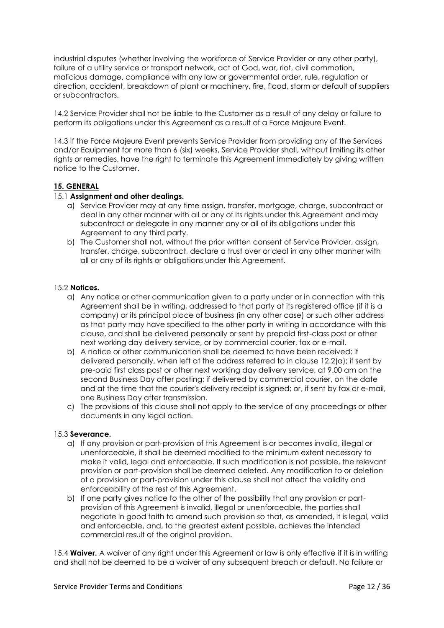industrial disputes (whether involving the workforce of Service Provider or any other party), failure of a utility service or transport network, act of God, war, riot, civil commotion, malicious damage, compliance with any law or governmental order, rule, regulation or direction, accident, breakdown of plant or machinery, fire, flood, storm or default of suppliers or subcontractors.

14.2 Service Provider shall not be liable to the Customer as a result of any delay or failure to perform its obligations under this Agreement as a result of a Force Majeure Event.

14.3 If the Force Majeure Event prevents Service Provider from providing any of the Services and/or Equipment for more than 6 (six) weeks, Service Provider shall, without limiting its other rights or remedies, have the right to terminate this Agreement immediately by giving written notice to the Customer.

## **15. GENERAL**

#### 15.1 **Assignment and other dealings.**

- a) Service Provider may at any time assign, transfer, mortgage, charge, subcontract or deal in any other manner with all or any of its rights under this Agreement and may subcontract or delegate in any manner any or all of its obligations under this Agreement to any third party.
- b) The Customer shall not, without the prior written consent of Service Provider, assign, transfer, charge, subcontract, declare a trust over or deal in any other manner with all or any of its rights or obligations under this Agreement.

#### 15.2 **Notices.**

- a) Any notice or other communication given to a party under or in connection with this Agreement shall be in writing, addressed to that party at its registered office (if it is a company) or its principal place of business (in any other case) or such other address as that party may have specified to the other party in writing in accordance with this clause, and shall be delivered personally or sent by prepaid first-class post or other next working day delivery service, or by commercial courier, fax or e-mail.
- b) A notice or other communication shall be deemed to have been received: if delivered personally, when left at the address referred to in clause 12.2(a); if sent by pre-paid first class post or other next working day delivery service, at 9.00 am on the second Business Day after posting; if delivered by commercial courier, on the date and at the time that the courier's delivery receipt is signed; or, if sent by fax or e-mail, one Business Day after transmission.
- c) The provisions of this clause shall not apply to the service of any proceedings or other documents in any legal action.

#### 15.3 **Severance.**

- a) If any provision or part-provision of this Agreement is or becomes invalid, illegal or unenforceable, it shall be deemed modified to the minimum extent necessary to make it valid, legal and enforceable. If such modification is not possible, the relevant provision or part-provision shall be deemed deleted. Any modification to or deletion of a provision or part-provision under this clause shall not affect the validity and enforceability of the rest of this Agreement.
- b) If one party gives notice to the other of the possibility that any provision or partprovision of this Agreement is invalid, illegal or unenforceable, the parties shall negotiate in good faith to amend such provision so that, as amended, it is legal, valid and enforceable, and, to the greatest extent possible, achieves the intended commercial result of the original provision.

15.4 **Waiver.** A waiver of any right under this Agreement or law is only effective if it is in writing and shall not be deemed to be a waiver of any subsequent breach or default. No failure or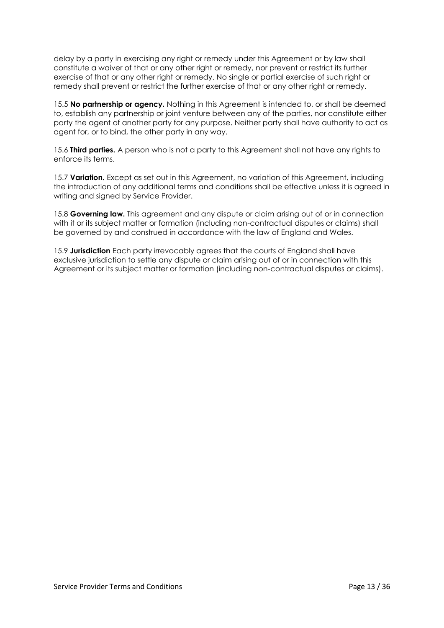delay by a party in exercising any right or remedy under this Agreement or by law shall constitute a waiver of that or any other right or remedy, nor prevent or restrict its further exercise of that or any other right or remedy. No single or partial exercise of such right or remedy shall prevent or restrict the further exercise of that or any other right or remedy.

15.5 **No partnership or agency.** Nothing in this Agreement is intended to, or shall be deemed to, establish any partnership or joint venture between any of the parties, nor constitute either party the agent of another party for any purpose. Neither party shall have authority to act as agent for, or to bind, the other party in any way.

15.6 **Third parties.** A person who is not a party to this Agreement shall not have any rights to enforce its terms.

15.7 **Variation.** Except as set out in this Agreement, no variation of this Agreement, including the introduction of any additional terms and conditions shall be effective unless it is agreed in writing and signed by Service Provider.

15.8 **Governing law.** This agreement and any dispute or claim arising out of or in connection with it or its subject matter or formation (including non-contractual disputes or claims) shall be governed by and construed in accordance with the law of England and Wales.

15.9 **Jurisdiction** Each party irrevocably agrees that the courts of England shall have exclusive jurisdiction to settle any dispute or claim arising out of or in connection with this Agreement or its subject matter or formation (including non-contractual disputes or claims).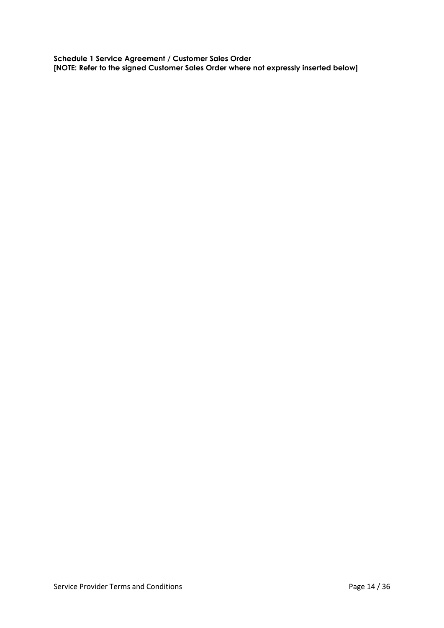**Schedule 1 Service Agreement / Customer Sales Order [NOTE: Refer to the signed Customer Sales Order where not expressly inserted below]**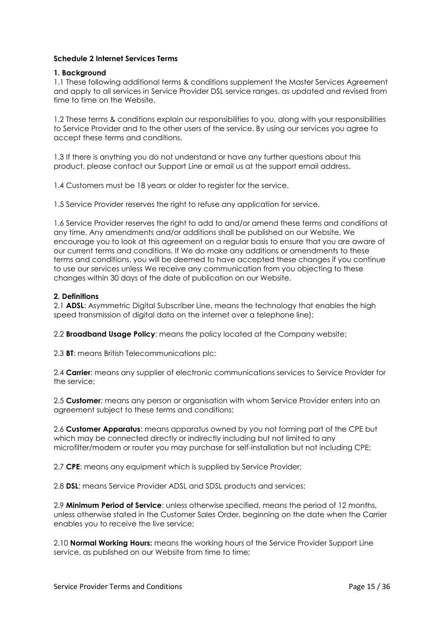## **Schedule 2 Internet Services Terms**

#### **1. Background**

1.1 These following additional terms & conditions supplement the Master Services Agreement and apply to all services in Service Provider DSL service ranges, as updated and revised from time to time on the Website.

1.2 These terms & conditions explain our responsibilities to you, along with your responsibilities to Service Provider and to the other users of the service. By using our services you agree to accept these terms and conditions.

1.3 If there is anything you do not understand or have any further questions about this product, please contact our Support Line or email us at the support email address.

1.4 Customers must be 18 years or older to register for the service.

1.5 Service Provider reserves the right to refuse any application for service.

1.6 Service Provider reserves the right to add to and/or amend these terms and conditions at any time. Any amendments and/or additions shall be published on our Website. We encourage you to look at this agreement on a regular basis to ensure that you are aware of our current terms and conditions. If We do make any additions or amendments to these terms and conditions, you will be deemed to have accepted these changes if you continue to use our services unless We receive any communication from you objecting to these changes within 30 days of the date of publication on our Website.

#### **2. Definitions**

2.1 **ADSL**: Asymmetric Digital Subscriber Line, means the technology that enables the high speed transmission of digital data on the internet over a telephone line);

2.2 **Broadband Usage Policy**: means the policy located at the Company website;

2.3 **BT**: means British Telecommunications plc;

2.4 **Carrier**: means any supplier of electronic communications services to Service Provider for the service;

2.5 **Customer**: means any person or organisation with whom Service Provider enters into an agreement subject to these terms and conditions;

2.6 **Customer Apparatus**: means apparatus owned by you not forming part of the CPE but which may be connected directly or indirectly including but not limited to any microfilter/modem or router you may purchase for self-installation but not including CPE;

2.7 **CPE**: means any equipment which is supplied by Service Provider;

2.8 **DSL**: means Service Provider ADSL and SDSL products and services;

2.9 **Minimum Period of Service**: unless otherwise specified, means the period of 12 months, unless otherwise stated in the Customer Sales Order, beginning on the date when the Carrier enables you to receive the live service;

2.10 **Normal Working Hours:** means the working hours of the Service Provider Support Line service, as published on our Website from time to time;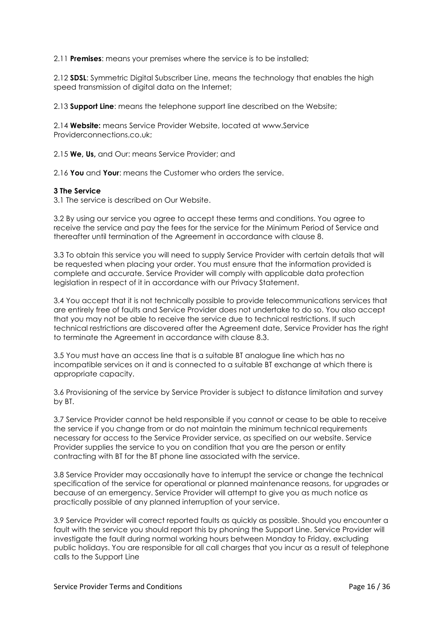2.11 **Premises**: means your premises where the service is to be installed;

2.12 **SDSL**: Symmetric Digital Subscriber Line, means the technology that enables the high speed transmission of digital data on the Internet;

2.13 **Support Line**: means the telephone support line described on the Website;

2.14 **Website:** means Service Provider Website, located at www.Service Providerconnections.co.uk;

2.15 **We, Us,** and Our: means Service Provider; and

2.16 **You** and **Your**: means the Customer who orders the service.

#### **3 The Service**

3.1 The service is described on Our Website.

3.2 By using our service you agree to accept these terms and conditions. You agree to receive the service and pay the fees for the service for the Minimum Period of Service and thereafter until termination of the Agreement in accordance with clause 8.

3.3 To obtain this service you will need to supply Service Provider with certain details that will be requested when placing your order. You must ensure that the information provided is complete and accurate. Service Provider will comply with applicable data protection legislation in respect of it in accordance with our Privacy Statement.

3.4 You accept that it is not technically possible to provide telecommunications services that are entirely free of faults and Service Provider does not undertake to do so. You also accept that you may not be able to receive the service due to technical restrictions. If such technical restrictions are discovered after the Agreement date, Service Provider has the right to terminate the Agreement in accordance with clause 8.3.

3.5 You must have an access line that is a suitable BT analogue line which has no incompatible services on it and is connected to a suitable BT exchange at which there is appropriate capacity.

3.6 Provisioning of the service by Service Provider is subject to distance limitation and survey by BT.

3.7 Service Provider cannot be held responsible if you cannot or cease to be able to receive the service if you change from or do not maintain the minimum technical requirements necessary for access to the Service Provider service, as specified on our website. Service Provider supplies the service to you on condition that you are the person or entity contracting with BT for the BT phone line associated with the service.

3.8 Service Provider may occasionally have to interrupt the service or change the technical specification of the service for operational or planned maintenance reasons, for upgrades or because of an emergency. Service Provider will attempt to give you as much notice as practically possible of any planned interruption of your service.

3.9 Service Provider will correct reported faults as quickly as possible. Should you encounter a fault with the service you should report this by phoning the Support Line. Service Provider will investigate the fault during normal working hours between Monday to Friday, excluding public holidays. You are responsible for all call charges that you incur as a result of telephone calls to the Support Line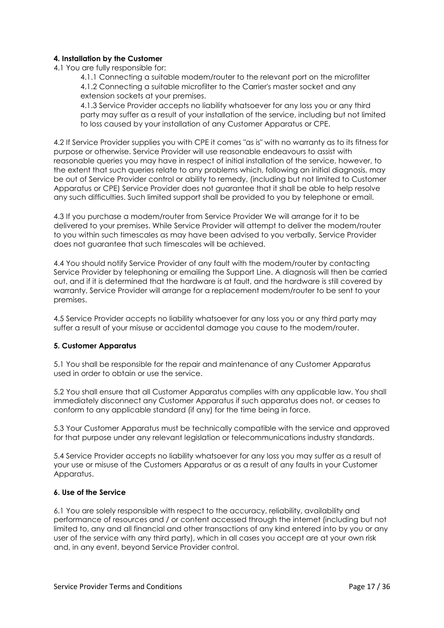# **4. Installation by the Customer**

4.1 You are fully responsible for:

4.1.1 Connecting a suitable modem/router to the relevant port on the microfilter 4.1.2 Connecting a suitable microfilter to the Carrier's master socket and any extension sockets at your premises.

4.1.3 Service Provider accepts no liability whatsoever for any loss you or any third party may suffer as a result of your installation of the service, including but not limited to loss caused by your installation of any Customer Apparatus or CPE.

4.2 If Service Provider supplies you with CPE it comes "as is" with no warranty as to its fitness for purpose or otherwise. Service Provider will use reasonable endeavours to assist with reasonable queries you may have in respect of initial installation of the service, however, to the extent that such queries relate to any problems which, following an initial diagnosis, may be out of Service Provider control or ability to remedy, (including but not limited to Customer Apparatus or CPE) Service Provider does not guarantee that it shall be able to help resolve any such difficulties. Such limited support shall be provided to you by telephone or email.

4.3 If you purchase a modem/router from Service Provider We will arrange for it to be delivered to your premises. While Service Provider will attempt to deliver the modem/router to you within such timescales as may have been advised to you verbally, Service Provider does not guarantee that such timescales will be achieved.

4.4 You should notify Service Provider of any fault with the modem/router by contacting Service Provider by telephoning or emailing the Support Line. A diagnosis will then be carried out, and if it is determined that the hardware is at fault, and the hardware is still covered by warranty, Service Provider will arrange for a replacement modem/router to be sent to your premises.

4.5 Service Provider accepts no liability whatsoever for any loss you or any third party may suffer a result of your misuse or accidental damage you cause to the modem/router.

## **5. Customer Apparatus**

5.1 You shall be responsible for the repair and maintenance of any Customer Apparatus used in order to obtain or use the service.

5.2 You shall ensure that all Customer Apparatus complies with any applicable law. You shall immediately disconnect any Customer Apparatus if such apparatus does not, or ceases to conform to any applicable standard (if any) for the time being in force.

5.3 Your Customer Apparatus must be technically compatible with the service and approved for that purpose under any relevant legislation or telecommunications industry standards.

5.4 Service Provider accepts no liability whatsoever for any loss you may suffer as a result of your use or misuse of the Customers Apparatus or as a result of any faults in your Customer Apparatus.

## **6. Use of the Service**

6.1 You are solely responsible with respect to the accuracy, reliability, availability and performance of resources and / or content accessed through the internet (including but not limited to, any and all financial and other transactions of any kind entered into by you or any user of the service with any third party), which in all cases you accept are at your own risk and, in any event, beyond Service Provider control.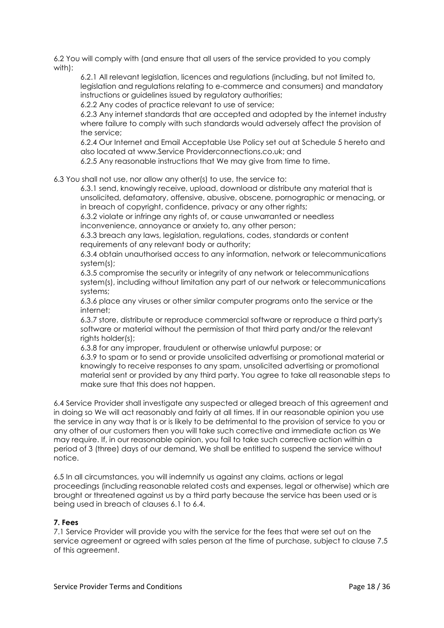6.2 You will comply with (and ensure that all users of the service provided to you comply with):

6.2.1 All relevant legislation, licences and regulations (including, but not limited to, legislation and regulations relating to e-commerce and consumers) and mandatory instructions or guidelines issued by regulatory authorities;

6.2.2 Any codes of practice relevant to use of service;

6.2.3 Any internet standards that are accepted and adopted by the internet industry where failure to comply with such standards would adversely affect the provision of the service;

6.2.4 Our Internet and Email Acceptable Use Policy set out at Schedule 5 hereto and also located at www.Service Providerconnections.co.uk; and

6.2.5 Any reasonable instructions that We may give from time to time.

6.3 You shall not use, nor allow any other(s) to use, the service to:

6.3.1 send, knowingly receive, upload, download or distribute any material that is unsolicited, defamatory, offensive, abusive, obscene, pornographic or menacing, or in breach of copyright, confidence, privacy or any other rights;

6.3.2 violate or infringe any rights of, or cause unwarranted or needless inconvenience, annoyance or anxiety to, any other person;

6.3.3 breach any laws, legislation, regulations, codes, standards or content requirements of any relevant body or authority;

6.3.4 obtain unauthorised access to any information, network or telecommunications system(s);

6.3.5 compromise the security or integrity of any network or telecommunications system(s), including without limitation any part of our network or telecommunications systems;

6.3.6 place any viruses or other similar computer programs onto the service or the internet;

6.3.7 store, distribute or reproduce commercial software or reproduce a third party's software or material without the permission of that third party and/or the relevant rights holder(s);

6.3.8 for any improper, fraudulent or otherwise unlawful purpose; or 6.3.9 to spam or to send or provide unsolicited advertising or promotional material or knowingly to receive responses to any spam, unsolicited advertising or promotional material sent or provided by any third party. You agree to take all reasonable steps to make sure that this does not happen.

6.4 Service Provider shall investigate any suspected or alleged breach of this agreement and in doing so We will act reasonably and fairly at all times. If in our reasonable opinion you use the service in any way that is or is likely to be detrimental to the provision of service to you or any other of our customers then you will take such corrective and immediate action as We may require. If, in our reasonable opinion, you fail to take such corrective action within a period of 3 (three) days of our demand, We shall be entitled to suspend the service without notice.

6.5 In all circumstances, you will indemnify us against any claims, actions or legal proceedings (including reasonable related costs and expenses, legal or otherwise) which are brought or threatened against us by a third party because the service has been used or is being used in breach of clauses 6.1 to 6.4.

## **7. Fees**

7.1 Service Provider will provide you with the service for the fees that were set out on the service agreement or agreed with sales person at the time of purchase, subject to clause 7.5 of this agreement.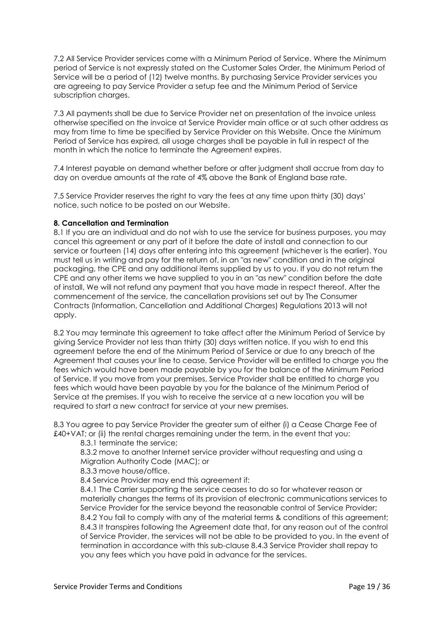7.2 All Service Provider services come with a Minimum Period of Service. Where the Minimum period of Service is not expressly stated on the Customer Sales Order, the Minimum Period of Service will be a period of (12) twelve months. By purchasing Service Provider services you are agreeing to pay Service Provider a setup fee and the Minimum Period of Service subscription charges.

7.3 All payments shall be due to Service Provider net on presentation of the invoice unless otherwise specified on the invoice at Service Provider main office or at such other address as may from time to time be specified by Service Provider on this Website. Once the Minimum Period of Service has expired, all usage charges shall be payable in full in respect of the month in which the notice to terminate the Agreement expires.

7.4 Interest payable on demand whether before or after judgment shall accrue from day to day on overdue amounts at the rate of 4% above the Bank of England base rate.

7.5 Service Provider reserves the right to vary the fees at any time upon thirty (30) days' notice, such notice to be posted on our Website.

#### **8. Cancellation and Termination**

8.1 If you are an individual and do not wish to use the service for business purposes, you may cancel this agreement or any part of it before the date of install and connection to our service or fourteen (14) days after entering into this agreement (whichever is the earlier). You must tell us in writing and pay for the return of, in an "as new" condition and in the original packaging, the CPE and any additional items supplied by us to you. If you do not return the CPE and any other items we have supplied to you in an "as new" condition before the date of install, We will not refund any payment that you have made in respect thereof. After the commencement of the service, the cancellation provisions set out by The Consumer Contracts (Information, Cancellation and Additional Charges) Regulations 2013 will not apply.

8.2 You may terminate this agreement to take affect after the Minimum Period of Service by giving Service Provider not less than thirty (30) days written notice. If you wish to end this agreement before the end of the Minimum Period of Service or due to any breach of the Agreement that causes your line to cease, Service Provider will be entitled to charge you the fees which would have been made payable by you for the balance of the Minimum Period of Service. If you move from your premises, Service Provider shall be entitled to charge you fees which would have been payable by you for the balance of the Minimum Period of Service at the premises. If you wish to receive the service at a new location you will be required to start a new contract for service at your new premises.

8.3 You agree to pay Service Provider the greater sum of either (i) a Cease Charge Fee of £40+VAT; or (ii) the rental charges remaining under the term, in the event that you:

8.3.1 terminate the service;

8.3.2 move to another Internet service provider without requesting and using a Migration Authority Code (MAC); or

8.3.3 move house/office.

8.4 Service Provider may end this agreement if:

8.4.1 The Carrier supporting the service ceases to do so for whatever reason or materially changes the terms of its provision of electronic communications services to Service Provider for the service beyond the reasonable control of Service Provider; 8.4.2 You fail to comply with any of the material terms & conditions of this agreement; 8.4.3 It transpires following the Agreement date that, for any reason out of the control of Service Provider, the services will not be able to be provided to you. In the event of termination in accordance with this sub-clause 8.4.3 Service Provider shall repay to you any fees which you have paid in advance for the services.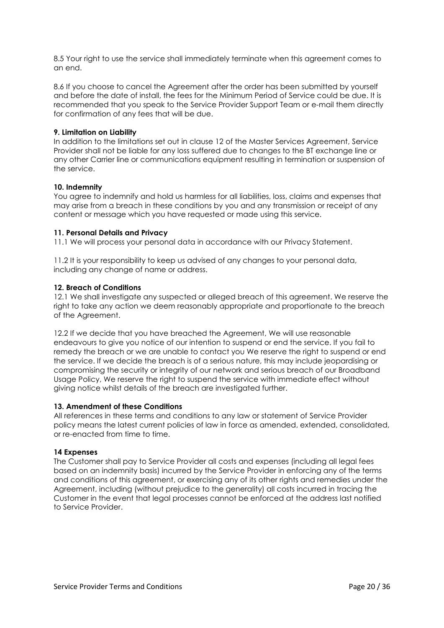8.5 Your right to use the service shall immediately terminate when this agreement comes to an end.

8.6 If you choose to cancel the Agreement after the order has been submitted by yourself and before the date of install, the fees for the Minimum Period of Service could be due. It is recommended that you speak to the Service Provider Support Team or e-mail them directly for confirmation of any fees that will be due.

## **9. Limitation on Liability**

In addition to the limitations set out in clause 12 of the Master Services Agreement, Service Provider shall not be liable for any loss suffered due to changes to the BT exchange line or any other Carrier line or communications equipment resulting in termination or suspension of the service.

# **10. Indemnity**

You agree to indemnify and hold us harmless for all liabilities, loss, claims and expenses that may arise from a breach in these conditions by you and any transmission or receipt of any content or message which you have requested or made using this service.

# **11. Personal Details and Privacy**

11.1 We will process your personal data in accordance with our Privacy Statement.

11.2 It is your responsibility to keep us advised of any changes to your personal data, including any change of name or address.

# **12. Breach of Conditions**

12.1 We shall investigate any suspected or alleged breach of this agreement. We reserve the right to take any action we deem reasonably appropriate and proportionate to the breach of the Agreement.

12.2 If we decide that you have breached the Agreement, We will use reasonable endeavours to give you notice of our intention to suspend or end the service. If you fail to remedy the breach or we are unable to contact you We reserve the right to suspend or end the service. If we decide the breach is of a serious nature, this may include jeopardising or compromising the security or integrity of our network and serious breach of our Broadband Usage Policy, We reserve the right to suspend the service with immediate effect without giving notice whilst details of the breach are investigated further.

## **13. Amendment of these Conditions**

All references in these terms and conditions to any law or statement of Service Provider policy means the latest current policies of law in force as amended, extended, consolidated, or re-enacted from time to time.

## **14 Expenses**

The Customer shall pay to Service Provider all costs and expenses (including all legal fees based on an indemnity basis) incurred by the Service Provider in enforcing any of the terms and conditions of this agreement, or exercising any of its other rights and remedies under the Agreement, including (without prejudice to the generality) all costs incurred in tracing the Customer in the event that legal processes cannot be enforced at the address last notified to Service Provider.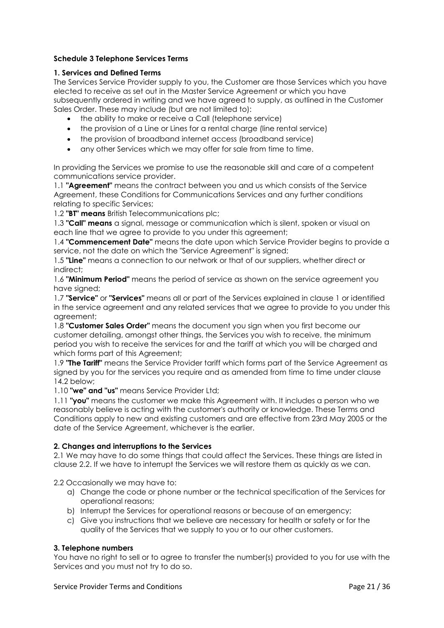# **Schedule 3 Telephone Services Terms**

## **1. Services and Defined Terms**

The Services Service Provider supply to you, the Customer are those Services which you have elected to receive as set out in the Master Service Agreement or which you have subsequently ordered in writing and we have agreed to supply, as outlined in the Customer Sales Order. These may include (but are not limited to):

- the ability to make or receive a Call (telephone service)
- the provision of a Line or Lines for a rental charge (line rental service)
- the provision of broadband internet access (broadband service)
- any other Services which we may offer for sale from time to time.

In providing the Services we promise to use the reasonable skill and care of a competent communications service provider.

1.1 **"Agreement"** means the contract between you and us which consists of the Service Agreement, these Conditions for Communications Services and any further conditions relating to specific Services;

1.2 **"BT" means** British Telecommunications plc;

1.3 **"Call" means** a signal, message or communication which is silent, spoken or visual on each line that we agree to provide to you under this agreement;

1.4 **"Commencement Date"** means the date upon which Service Provider begins to provide a service, not the date on which the "Service Agreement" is signed;

1.5 **"Line"** means a connection to our network or that of our suppliers, whether direct or indirect;

1.6 **"Minimum Period"** means the period of service as shown on the service agreement you have signed;

1.7 **"Service"** or **"Services"** means all or part of the Services explained in clause 1 or identified in the service agreement and any related services that we agree to provide to you under this agreement;

1.8 **"Customer Sales Order"** means the document you sign when you first become our customer detailing, amongst other things, the Services you wish to receive, the minimum period you wish to receive the services for and the tariff at which you will be charged and which forms part of this Agreement;

1.9 **"The Tariff"** means the Service Provider tariff which forms part of the Service Agreement as signed by you for the services you require and as amended from time to time under clause 14.2 below;

1.10 **"we" and "us"** means Service Provider Ltd;

1.11 **"you"** means the customer we make this Agreement with. It includes a person who we reasonably believe is acting with the customer's authority or knowledge. These Terms and Conditions apply to new and existing customers and are effective from 23rd May 2005 or the date of the Service Agreement, whichever is the earlier.

## **2. Changes and interruptions to the Services**

2.1 We may have to do some things that could affect the Services. These things are listed in clause 2.2. If we have to interrupt the Services we will restore them as quickly as we can.

2.2 Occasionally we may have to:

- a) Change the code or phone number or the technical specification of the Services for operational reasons;
- b) Interrupt the Services for operational reasons or because of an emergency;
- c) Give you instructions that we believe are necessary for health or safety or for the quality of the Services that we supply to you or to our other customers.

## **3. Telephone numbers**

You have no right to sell or to agree to transfer the number(s) provided to you for use with the Services and you must not try to do so.

#### Service Provider Terms and Conditions **Page 21 / 36** Service Provider Terms and Conditions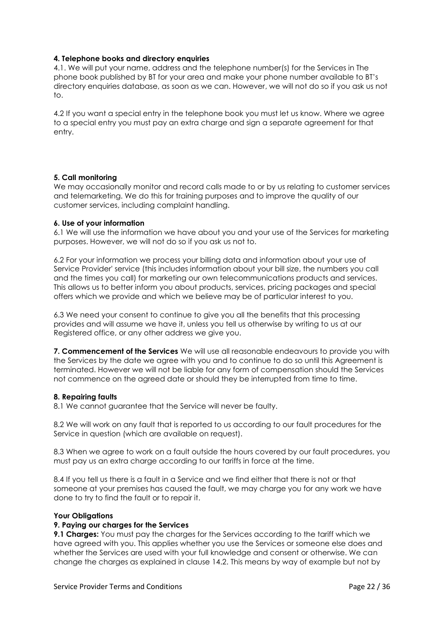#### **4. Telephone books and directory enquiries**

4.1. We will put your name, address and the telephone number(s) for the Services in The phone book published by BT for your area and make your phone number available to BT's directory enquiries database, as soon as we can. However, we will not do so if you ask us not to.

4.2 If you want a special entry in the telephone book you must let us know. Where we agree to a special entry you must pay an extra charge and sign a separate agreement for that entry.

## **5. Call monitoring**

We may occasionally monitor and record calls made to or by us relating to customer services and telemarketing. We do this for training purposes and to improve the quality of our customer services, including complaint handling.

#### **6. Use of your information**

6.1 We will use the information we have about you and your use of the Services for marketing purposes. However, we will not do so if you ask us not to.

6.2 For your information we process your billing data and information about your use of Service Provider' service (this includes information about your bill size, the numbers you call and the times you call) for marketing our own telecommunications products and services. This allows us to better inform you about products, services, pricing packages and special offers which we provide and which we believe may be of particular interest to you.

6.3 We need your consent to continue to give you all the benefits that this processing provides and will assume we have it, unless you tell us otherwise by writing to us at our Registered office, or any other address we give you.

**7. Commencement of the Services** We will use all reasonable endeavours to provide you with the Services by the date we agree with you and to continue to do so until this Agreement is terminated. However we will not be liable for any form of compensation should the Services not commence on the agreed date or should they be interrupted from time to time.

#### **8. Repairing faults**

8.1 We cannot auarantee that the Service will never be faulty.

8.2 We will work on any fault that is reported to us according to our fault procedures for the Service in question (which are available on request).

8.3 When we agree to work on a fault outside the hours covered by our fault procedures, you must pay us an extra charge according to our tariffs in force at the time.

8.4 If you tell us there is a fault in a Service and we find either that there is not or that someone at your premises has caused the fault, we may charge you for any work we have done to try to find the fault or to repair it.

#### **Your Obligations**

#### **9. Paying our charges for the Services**

**9.1 Charges:** You must pay the charges for the Services according to the tariff which we have agreed with you. This applies whether you use the Services or someone else does and whether the Services are used with your full knowledge and consent or otherwise. We can change the charges as explained in clause 14.2. This means by way of example but not by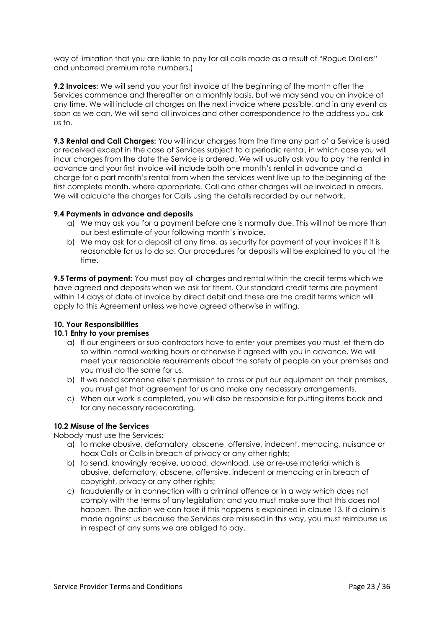way of limitation that you are liable to pay for all calls made as a result of "Rogue Diallers" and unbarred premium rate numbers.)

**9.2 Invoices:** We will send you your first invoice at the beginning of the month after the Services commence and thereafter on a monthly basis, but we may send you an invoice at any time. We will include all charges on the next invoice where possible, and in any event as soon as we can. We will send all invoices and other correspondence to the address you ask us to.

**9.3 Rental and Call Charges:** You will incur charges from the time any part of a Service is used or received except in the case of Services subject to a periodic rental, in which case you will incur charges from the date the Service is ordered. We will usually ask you to pay the rental in advance and your first invoice will include both one month's rental in advance and a charge for a part month's rental from when the services went live up to the beginning of the first complete month, where appropriate. Call and other charges will be invoiced in arrears. We will calculate the charges for Calls using the details recorded by our network.

## **9.4 Payments in advance and deposits**

- a) We may ask you for a payment before one is normally due. This will not be more than our best estimate of your following month's invoice.
- b) We may ask for a deposit at any time, as security for payment of your invoices if it is reasonable for us to do so. Our procedures for deposits will be explained to you at the time.

**9.5 Terms of payment:** You must pay all charges and rental within the credit terms which we have agreed and deposits when we ask for them. Our standard credit terms are payment within 14 days of date of invoice by direct debit and these are the credit terms which will apply to this Agreement unless we have agreed otherwise in writing.

## **10. Your Responsibilities**

#### **10.1 Entry to your premises**

- a) If our engineers or sub-contractors have to enter your premises you must let them do so within normal working hours or otherwise if agreed with you in advance. We will meet your reasonable requirements about the safety of people on your premises and you must do the same for us.
- b) If we need someone else's permission to cross or put our equipment on their premises, you must get that agreement for us and make any necessary arrangements.
- c) When our work is completed, you will also be responsible for putting items back and for any necessary redecorating.

## **10.2 Misuse of the Services**

Nobody must use the Services:

- a) to make abusive, defamatory, obscene, offensive, indecent, menacing, nuisance or hoax Calls or Calls in breach of privacy or any other rights;
- b) to send, knowingly receive, upload, download, use or re-use material which is abusive, defamatory, obscene, offensive, indecent or menacing or in breach of copyright, privacy or any other rights;
- c) fraudulently or in connection with a criminal offence or in a way which does not comply with the terms of any legislation; and you must make sure that this does not happen. The action we can take if this happens is explained in clause 13. If a claim is made against us because the Services are misused in this way, you must reimburse us in respect of any sums we are obliged to pay.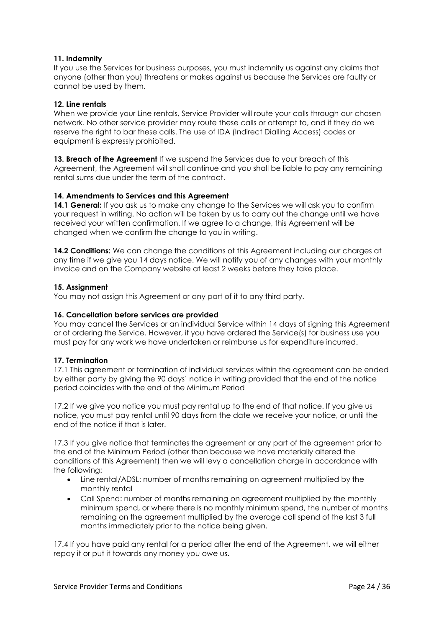## **11. Indemnity**

If you use the Services for business purposes, you must indemnify us against any claims that anyone (other than you) threatens or makes against us because the Services are faulty or cannot be used by them.

#### **12. Line rentals**

When we provide your Line rentals, Service Provider will route your calls through our chosen network. No other service provider may route these calls or attempt to, and if they do we reserve the right to bar these calls. The use of IDA (Indirect Dialling Access) codes or equipment is expressly prohibited.

**13. Breach of the Agreement** If we suspend the Services due to your breach of this Agreement, the Agreement will shall continue and you shall be liable to pay any remaining rental sums due under the term of the contract.

## **14. Amendments to Services and this Agreement**

**14.1 General:** If you ask us to make any change to the Services we will ask you to confirm your request in writing. No action will be taken by us to carry out the change until we have received your written confirmation. If we agree to a change, this Agreement will be changed when we confirm the change to you in writing.

**14.2 Conditions:** We can change the conditions of this Agreement including our charges at any time if we give you 14 days notice. We will notify you of any changes with your monthly invoice and on the Company website at least 2 weeks before they take place.

#### **15. Assignment**

You may not assign this Agreement or any part of it to any third party.

#### **16. Cancellation before services are provided**

You may cancel the Services or an individual Service within 14 days of signing this Agreement or of ordering the Service. However, if you have ordered the Service(s) for business use you must pay for any work we have undertaken or reimburse us for expenditure incurred.

## **17. Termination**

17.1 This agreement or termination of individual services within the agreement can be ended by either party by giving the 90 days' notice in writing provided that the end of the notice period coincides with the end of the Minimum Period

17.2 If we give you notice you must pay rental up to the end of that notice. If you give us notice, you must pay rental until 90 days from the date we receive your notice, or until the end of the notice if that is later.

17.3 If you give notice that terminates the agreement or any part of the agreement prior to the end of the Minimum Period (other than because we have materially altered the conditions of this Agreement) then we will levy a cancellation charge in accordance with the following:

- Line rental/ADSL: number of months remaining on agreement multiplied by the monthly rental
- Call Spend: number of months remaining on agreement multiplied by the monthly minimum spend, or where there is no monthly minimum spend, the number of months remaining on the agreement multiplied by the average call spend of the last 3 full months immediately prior to the notice being given.

17.4 If you have paid any rental for a period after the end of the Agreement, we will either repay it or put it towards any money you owe us.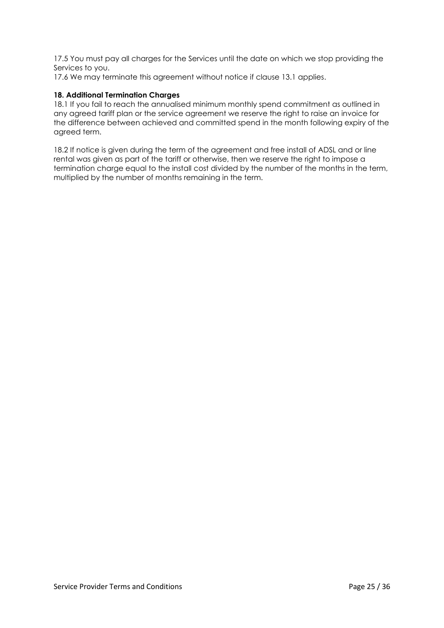17.5 You must pay all charges for the Services until the date on which we stop providing the Services to you.

17.6 We may terminate this agreement without notice if clause 13.1 applies.

## **18. Additional Termination Charges**

18.1 If you fail to reach the annualised minimum monthly spend commitment as outlined in any agreed tariff plan or the service agreement we reserve the right to raise an invoice for the difference between achieved and committed spend in the month following expiry of the agreed term.

18.2 If notice is given during the term of the agreement and free install of ADSL and or line rental was given as part of the tariff or otherwise, then we reserve the right to impose a termination charge equal to the install cost divided by the number of the months in the term, multiplied by the number of months remaining in the term.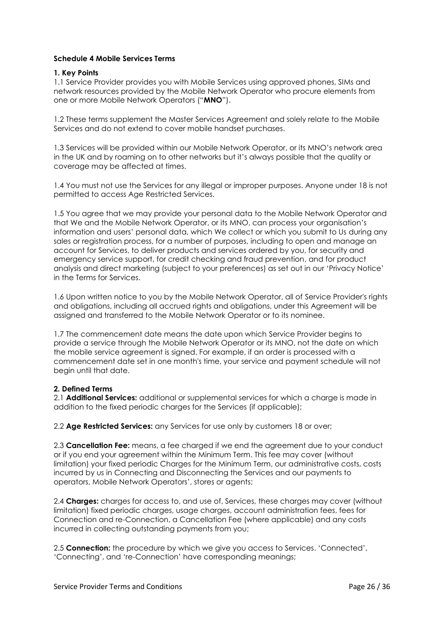## **Schedule 4 Mobile Services Terms**

## **1. Key Points**

1.1 Service Provider provides you with Mobile Services using approved phones, SIMs and network resources provided by the Mobile Network Operator who procure elements from one or more Mobile Network Operators ("**MNO**").

1.2 These terms supplement the Master Services Agreement and solely relate to the Mobile Services and do not extend to cover mobile handset purchases.

1.3 Services will be provided within our Mobile Network Operator, or its MNO's network area in the UK and by roaming on to other networks but it's always possible that the quality or coverage may be affected at times.

1.4 You must not use the Services for any illegal or improper purposes. Anyone under 18 is not permitted to access Age Restricted Services.

1.5 You agree that we may provide your personal data to the Mobile Network Operator and that We and the Mobile Network Operator, or its MNO, can process your organisation's information and users' personal data, which We collect or which you submit to Us during any sales or registration process, for a number of purposes, including to open and manage an account for Services, to deliver products and services ordered by you, for security and emergency service support, for credit checking and fraud prevention, and for product analysis and direct marketing (subject to your preferences) as set out in our 'Privacy Notice' in the Terms for Services.

1.6 Upon written notice to you by the Mobile Network Operator, all of Service Provider's rights and obligations, including all accrued rights and obligations, under this Agreement will be assigned and transferred to the Mobile Network Operator or to its nominee.

1.7 The commencement date means the date upon which Service Provider begins to provide a service through the Mobile Network Operator or its MNO, not the date on which the mobile service agreement is signed. For example, if an order is processed with a commencement date set in one month's time, your service and payment schedule will not begin until that date.

## **2. Defined Terms**

2.1 **Additional Services:** additional or supplemental services for which a charge is made in addition to the fixed periodic charges for the Services (if applicable);

2.2 **Age Restricted Services:** any Services for use only by customers 18 or over;

2.3 **Cancellation Fee:** means, a fee charged if we end the agreement due to your conduct or if you end your agreement within the Minimum Term. This fee may cover (without limitation) your fixed periodic Charges for the Minimum Term, our administrative costs, costs incurred by us in Connecting and Disconnecting the Services and our payments to operators, Mobile Network Operators', stores or agents;

2.4 **Charges:** charges for access to, and use of, Services, these charges may cover (without limitation) fixed periodic charges, usage charges, account administration fees, fees for Connection and re-Connection, a Cancellation Fee (where applicable) and any costs incurred in collecting outstanding payments from you;

2.5 **Connection:** the procedure by which we give you access to Services. 'Connected', 'Connecting', and 're-Connection' have corresponding meanings;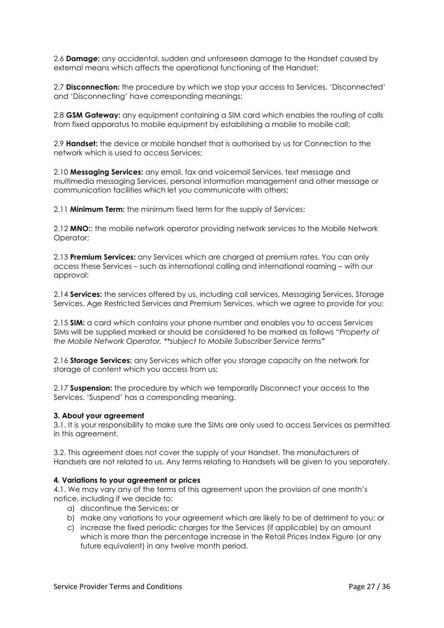2.6 **Damage:** any accidental, sudden and unforeseen damage to the Handset caused by external means which affects the operational functioning of the Handset;

2.7 **Disconnection:** the procedure by which we stop your access to Services. 'Disconnected' and 'Disconnecting' have corresponding meanings;

2.8 **GSM Gateway:** any equipment containing a SIM card which enables the routing of calls from fixed apparatus to mobile equipment by establishing a mobile to mobile call;

2.9 **Handset:** the device or mobile handset that is authorised by us for Connection to the network which is used to access Services;

2.10 **Messaging Services:** any email, fax and voicemail Services, text message and multimedia messaging Services, personal information management and other message or communication facilities which let you communicate with others;

2.11 **Minimum Term:** the minimum fixed term for the supply of Services;

2.12 **MNO:**: the mobile network operator providing network services to the Mobile Network Operator;

2.13 **Premium Services:** any Services which are charged at premium rates. You can only access these Services – such as international calling and international roaming – with our approval;

2.14 **Services:** the services offered by us, including call services, Messaging Services, Storage Services, Age Restricted Services and Premium Services, which we agree to provide for you;

2.15 **SIM:** a card which contains your phone number and enables you to access Services SIMs will be supplied marked or should be considered to be marked as follows "*Property of the Mobile Network Operator, \*\*subject to Mobile Subscriber Service terms***"** 

2.16 **Storage Services:** any Services which offer you storage capacity on the network for storage of content which you access from us;

2.17 **Suspension:** the procedure by which we temporarily Disconnect your access to the Services. 'Suspend' has a corresponding meaning.

#### **3. About your agreement**

3.1. It is your responsibility to make sure the SIMs are only used to access Services as permitted in this agreement.

3.2. This agreement does not cover the supply of your Handset. The manufacturers of Handsets are not related to us. Any terms relating to Handsets will be given to you separately.

#### **4. Variations to your agreement or prices**

4.1. We may vary any of the terms of this agreement upon the provision of one month's notice, including if we decide to:

- a) discontinue the Services; or
- b) make any variations to your agreement which are likely to be of detriment to you; or
- c) increase the fixed periodic charges for the Services (if applicable) by an amount which is more than the percentage increase in the Retail Prices Index Figure (or any future equivalent) in any twelve month period.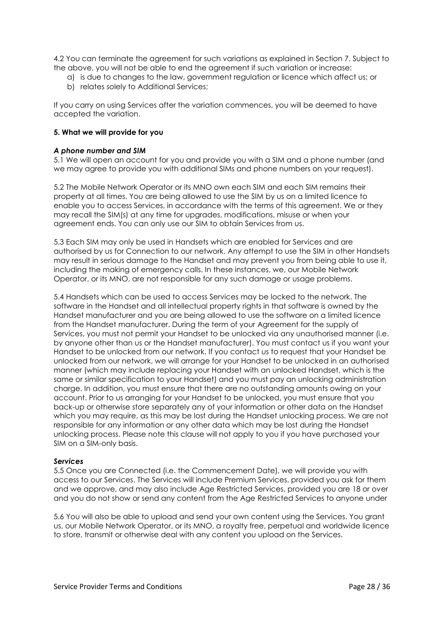4.2 You can terminate the agreement for such variations as explained in Section 7. Subject to the above, you will not be able to end the agreement if such variation or increase:

- a) is due to changes to the law, government regulation or licence which affect us; or
- b) relates solely to Additional Services;

If you carry on using Services after the variation commences, you will be deemed to have accepted the variation.

#### **5. What we will provide for you**

#### *A phone number and SIM*

5.1 We will open an account for you and provide you with a SIM and a phone number (and we may agree to provide you with additional SIMs and phone numbers on your request).

5.2 The Mobile Network Operator or its MNO own each SIM and each SIM remains their property at all times. You are being allowed to use the SIM by us on a limited licence to enable you to access Services, in accordance with the terms of this agreement. We or they may recall the SIM(s) at any time for upgrades, modifications, misuse or when your agreement ends. You can only use our SIM to obtain Services from us.

5.3 Each SIM may only be used in Handsets which are enabled for Services and are authorised by us for Connection to our network. Any attempt to use the SIM in other Handsets may result in serious damage to the Handset and may prevent you from being able to use it, including the making of emergency calls. In these instances, we, our Mobile Network Operator, or its MNO, are not responsible for any such damage or usage problems.

5.4 Handsets which can be used to access Services may be locked to the network. The software in the Handset and all intellectual property rights in that software is owned by the Handset manufacturer and you are being allowed to use the software on a limited licence from the Handset manufacturer. During the term of your Agreement for the supply of Services, you must not permit your Handset to be unlocked via any unauthorised manner (i.e. by anyone other than us or the Handset manufacturer). You must contact us if you want your Handset to be unlocked from our network. If you contact us to request that your Handset be unlocked from our network, we will arrange for your Handset to be unlocked in an authorised manner (which may include replacing your Handset with an unlocked Handset, which is the same or similar specification to your Handset) and you must pay an unlocking administration charge. In addition, you must ensure that there are no outstanding amounts owing on your account. Prior to us arranging for your Handset to be unlocked, you must ensure that you back-up or otherwise store separately any of your information or other data on the Handset which you may require, as this may be lost during the Handset unlocking process. We are not responsible for any information or any other data which may be lost during the Handset unlocking process. Please note this clause will not apply to you if you have purchased your SIM on a SIM-only basis.

#### *Services*

5.5 Once you are Connected (i.e. the Commencement Date), we will provide you with access to our Services. The Services will include Premium Services, provided you ask for them and we approve, and may also include Age Restricted Services, provided you are 18 or over and you do not show or send any content from the Age Restricted Services to anyone under

5.6 You will also be able to upload and send your own content using the Services. You grant us, our Mobile Network Operator, or its MNO, a royalty free, perpetual and worldwide licence to store, transmit or otherwise deal with any content you upload on the Services.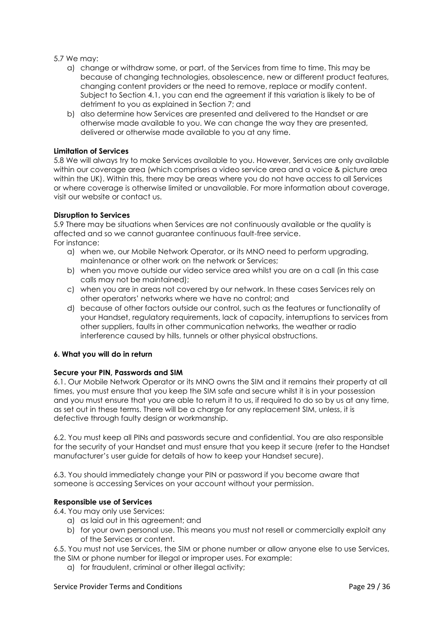#### 5.7 We may:

- a) change or withdraw some, or part, of the Services from time to time. This may be because of changing technologies, obsolescence, new or different product features, changing content providers or the need to remove, replace or modify content. Subject to Section 4.1, you can end the agreement if this variation is likely to be of detriment to you as explained in Section 7; and
- b) also determine how Services are presented and delivered to the Handset or are otherwise made available to you. We can change the way they are presented, delivered or otherwise made available to you at any time.

#### **Limitation of Services**

5.8 We will always try to make Services available to you. However, Services are only available within our coverage area (which comprises a video service area and a voice & picture area within the UK). Within this, there may be areas where you do not have access to all Services or where coverage is otherwise limited or unavailable. For more information about coverage, visit our website or contact us.

#### **Disruption to Services**

5.9 There may be situations when Services are not continuously available or the quality is affected and so we cannot guarantee continuous fault-free service. For instance:

- a) when we, our Mobile Network Operator, or its MNO need to perform upgrading, maintenance or other work on the network or Services;
- b) when you move outside our video service area whilst you are on a call (in this case calls may not be maintained);
- c) when you are in areas not covered by our network. In these cases Services rely on other operators' networks where we have no control; and
- d) because of other factors outside our control, such as the features or functionality of your Handset, regulatory requirements, lack of capacity, interruptions to services from other suppliers, faults in other communication networks, the weather or radio interference caused by hills, tunnels or other physical obstructions.

## **6. What you will do in return**

## **Secure your PIN, Passwords and SIM**

6.1. Our Mobile Network Operator or its MNO owns the SIM and it remains their property at all times, you must ensure that you keep the SIM safe and secure whilst it is in your possession and you must ensure that you are able to return it to us, if required to do so by us at any time, as set out in these terms. There will be a charge for any replacement SIM, unless, it is defective through faulty design or workmanship.

6.2. You must keep all PINs and passwords secure and confidential. You are also responsible for the security of your Handset and must ensure that you keep it secure (refer to the Handset manufacturer's user guide for details of how to keep your Handset secure).

6.3. You should immediately change your PIN or password if you become aware that someone is accessing Services on your account without your permission.

## **Responsible use of Services**

6.4. You may only use Services:

- a) as laid out in this agreement; and
- b) for your own personal use. This means you must not resell or commercially exploit any of the Services or content.

6.5. You must not use Services, the SIM or phone number or allow anyone else to use Services, the SIM or phone number for illegal or improper uses. For example:

a) for fraudulent, criminal or other illegal activity;

#### Service Provider Terms and Conditions **Page 29** / 36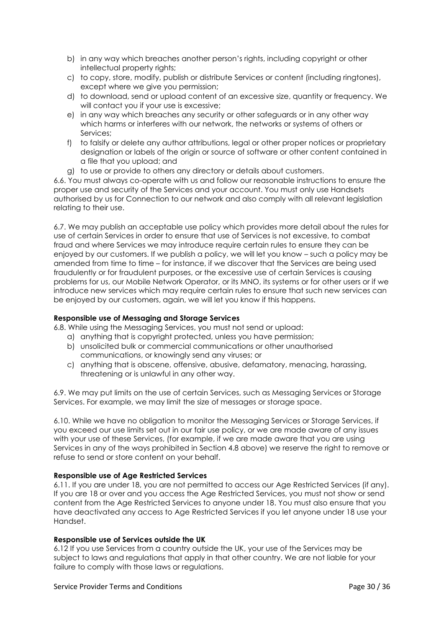- b) in any way which breaches another person's rights, including copyright or other intellectual property rights;
- c) to copy, store, modify, publish or distribute Services or content (including ringtones), except where we give you permission;
- d) to download, send or upload content of an excessive size, quantity or frequency. We will contact you if your use is excessive;
- e) in any way which breaches any security or other safeguards or in any other way which harms or interferes with our network, the networks or systems of others or Services;
- f) to falsify or delete any author attributions, legal or other proper notices or proprietary designation or labels of the origin or source of software or other content contained in a file that you upload; and
- g) to use or provide to others any directory or details about customers.

6.6. You must always co-operate with us and follow our reasonable instructions to ensure the proper use and security of the Services and your account. You must only use Handsets authorised by us for Connection to our network and also comply with all relevant legislation relating to their use.

6.7. We may publish an acceptable use policy which provides more detail about the rules for use of certain Services in order to ensure that use of Services is not excessive, to combat fraud and where Services we may introduce require certain rules to ensure they can be enjoyed by our customers. If we publish a policy, we will let you know – such a policy may be amended from time to time – for instance, if we discover that the Services are being used fraudulently or for fraudulent purposes, or the excessive use of certain Services is causing problems for us, our Mobile Network Operator, or its MNO, its systems or for other users or if we introduce new services which may require certain rules to ensure that such new services can be enjoyed by our customers, again, we will let you know if this happens.

## **Responsible use of Messaging and Storage Services**

6.8. While using the Messaging Services, you must not send or upload:

- a) anything that is copyright protected, unless you have permission;
- b) unsolicited bulk or commercial communications or other unauthorised communications, or knowingly send any viruses; or
- c) anything that is obscene, offensive, abusive, defamatory, menacing, harassing, threatening or is unlawful in any other way.

6.9. We may put limits on the use of certain Services, such as Messaging Services or Storage Services. For example, we may limit the size of messages or storage space.

6.10. While we have no obligation to monitor the Messaging Services or Storage Services, if you exceed our use limits set out in our fair use policy, or we are made aware of any issues with your use of these Services, (for example, if we are made aware that you are using Services in any of the ways prohibited in Section 4.8 above) we reserve the right to remove or refuse to send or store content on your behalf.

## **Responsible use of Age Restricted Services**

6.11. If you are under 18, you are not permitted to access our Age Restricted Services (if any). If you are 18 or over and you access the Age Restricted Services, you must not show or send content from the Age Restricted Services to anyone under 18. You must also ensure that you have deactivated any access to Age Restricted Services if you let anyone under 18 use your Handset.

#### **Responsible use of Services outside the UK**

6.12 If you use Services from a country outside the UK, your use of the Services may be subject to laws and regulations that apply in that other country. We are not liable for your failure to comply with those laws or regulations.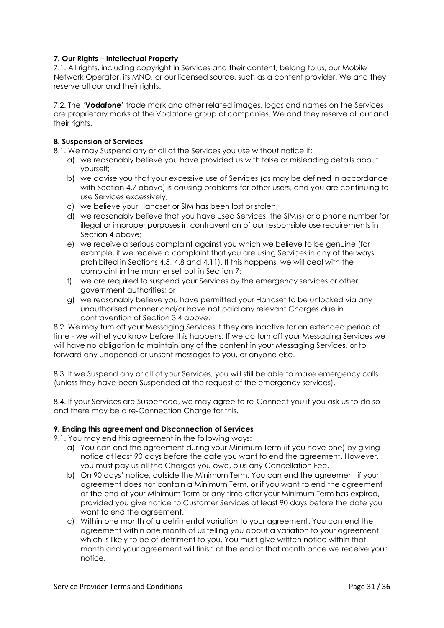# **7. Our Rights – Intellectual Property**

7.1. All rights, including copyright in Services and their content, belong to us, our Mobile Network Operator, its MNO, or our licensed source, such as a content provider. We and they reserve all our and their rights.

7.2. The '**Vodafone**' trade mark and other related images, logos and names on the Services are proprietary marks of the Vodafone group of companies. We and they reserve all our and their rights.

## **8. Suspension of Services**

8.1. We may Suspend any or all of the Services you use without notice if:

- a) we reasonably believe you have provided us with false or misleading details about yourself;
- b) we advise you that your excessive use of Services (as may be defined in accordance with Section 4.7 above) is causing problems for other users, and you are continuing to use Services excessively;
- c) we believe your Handset or SIM has been lost or stolen;
- d) we reasonably believe that you have used Services, the SIM(s) or a phone number for illegal or improper purposes in contravention of our responsible use requirements in Section 4 above;
- e) we receive a serious complaint against you which we believe to be genuine (for example, if we receive a complaint that you are using Services in any of the ways prohibited in Sections 4.5, 4.8 and 4.11). If this happens, we will deal with the complaint in the manner set out in Section 7;
- f) we are required to suspend your Services by the emergency services or other government authorities; or
- g) we reasonably believe you have permitted your Handset to be unlocked via any unauthorised manner and/or have not paid any relevant Charges due in contravention of Section 3.4 above.

8.2. We may turn off your Messaging Services if they are inactive for an extended period of time - we will let you know before this happens. If we do turn off your Messaging Services we will have no obligation to maintain any of the content in your Messaging Services, or to forward any unopened or unsent messages to you, or anyone else.

8.3. If we Suspend any or all of your Services, you will still be able to make emergency calls (unless they have been Suspended at the request of the emergency services).

8.4. If your Services are Suspended, we may agree to re-Connect you if you ask us to do so and there may be a re-Connection Charge for this.

## **9. Ending this agreement and Disconnection of Services**

9.1. You may end this agreement in the following ways:

- a) You can end the agreement during your Minimum Term (if you have one) by giving notice at least 90 days before the date you want to end the agreement. However, you must pay us all the Charges you owe, plus any Cancellation Fee.
- b) On 90 days' notice, outside the Minimum Term. You can end the agreement if your agreement does not contain a Minimum Term, or if you want to end the agreement at the end of your Minimum Term or any time after your Minimum Term has expired, provided you give notice to Customer Services at least 90 days before the date you want to end the agreement.
- c) Within one month of a detrimental variation to your agreement. You can end the agreement within one month of us telling you about a variation to your agreement which is likely to be of detriment to you. You must give written notice within that month and your agreement will finish at the end of that month once we receive your notice.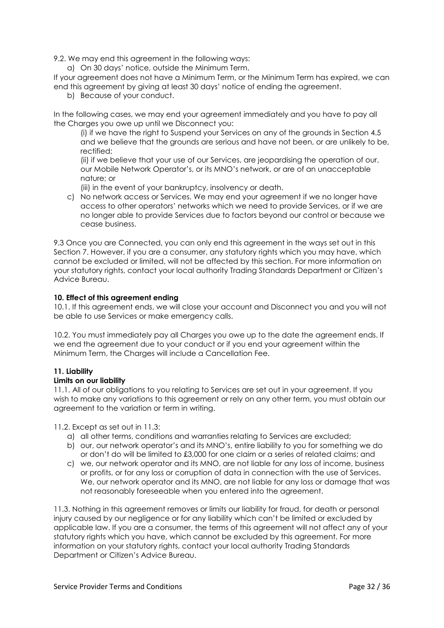9.2. We may end this agreement in the following ways:

a) On 30 days' notice, outside the Minimum Term.

If your agreement does not have a Minimum Term, or the Minimum Term has expired, we can end this agreement by giving at least 30 days' notice of ending the agreement.

b) Because of your conduct.

In the following cases, we may end your agreement immediately and you have to pay all the Charges you owe up until we Disconnect you:

(i) if we have the right to Suspend your Services on any of the grounds in Section 4.5 and we believe that the grounds are serious and have not been, or are unlikely to be, rectified;

(ii) if we believe that your use of our Services, are jeopardising the operation of our, our Mobile Network Operator's, or its MNO's network, or are of an unacceptable nature; or

(iii) in the event of your bankruptcy, insolvency or death.

c) No network access or Services. We may end your agreement if we no longer have access to other operators' networks which we need to provide Services, or if we are no longer able to provide Services due to factors beyond our control or because we cease business.

9.3 Once you are Connected, you can only end this agreement in the ways set out in this Section 7. However, if you are a consumer, any statutory rights which you may have, which cannot be excluded or limited, will not be affected by this section. For more information on your statutory rights, contact your local authority Trading Standards Department or Citizen's Advice Bureau.

# **10. Effect of this agreement ending**

10.1. If this agreement ends, we will close your account and Disconnect you and you will not be able to use Services or make emergency calls.

10.2. You must immediately pay all Charges you owe up to the date the agreement ends. If we end the agreement due to your conduct or if you end your agreement within the Minimum Term, the Charges will include a Cancellation Fee.

# **11. Liability**

## **Limits on our liability**

11.1. All of our obligations to you relating to Services are set out in your agreement. If you wish to make any variations to this agreement or rely on any other term, you must obtain our agreement to the variation or term in writing.

11.2. Except as set out in 11.3:

- a) all other terms, conditions and warranties relating to Services are excluded;
- b) our, our network operator's and its MNO's, entire liability to you for something we do or don't do will be limited to £3,000 for one claim or a series of related claims; and
- c) we, our network operator and its MNO, are not liable for any loss of income, business or profits, or for any loss or corruption of data in connection with the use of Services. We, our network operator and its MNO, are not liable for any loss or damage that was not reasonably foreseeable when you entered into the agreement.

11.3. Nothing in this agreement removes or limits our liability for fraud, for death or personal injury caused by our negligence or for any liability which can't be limited or excluded by applicable law. If you are a consumer, the terms of this agreement will not affect any of your statutory rights which you have, which cannot be excluded by this agreement. For more information on your statutory rights, contact your local authority Trading Standards Department or Citizen's Advice Bureau.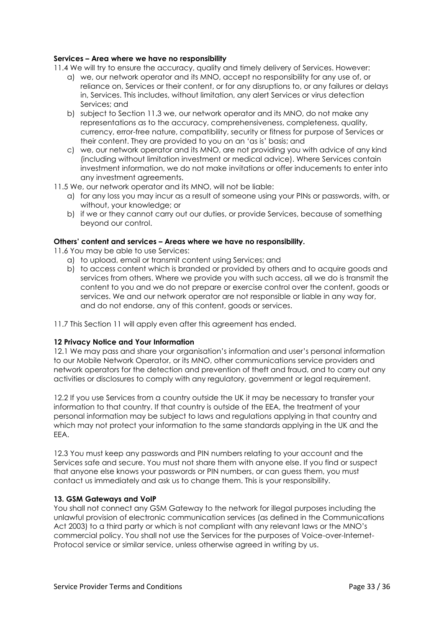## **Services – Area where we have no responsibility**

11.4 We will try to ensure the accuracy, quality and timely delivery of Services. However:

- a) we, our network operator and its MNO, accept no responsibility for any use of, or reliance on, Services or their content, or for any disruptions to, or any failures or delays in, Services. This includes, without limitation, any alert Services or virus detection Services; and
- b) subject to Section 11.3 we, our network operator and its MNO, do not make any representations as to the accuracy, comprehensiveness, completeness, quality, currency, error-free nature, compatibility, security or fitness for purpose of Services or their content. They are provided to you on an 'as is' basis; and
- c) we, our network operator and its MNO, are not providing you with advice of any kind (including without limitation investment or medical advice). Where Services contain investment information, we do not make invitations or offer inducements to enter into any investment agreements.
- 11.5 We, our network operator and its MNO, will not be liable:
	- a) for any loss you may incur as a result of someone using your PINs or passwords, with, or without, your knowledge; or
	- b) if we or they cannot carry out our duties, or provide Services, because of something beyond our control.

#### **Others' content and services – Areas where we have no responsibility.**

11.6 You may be able to use Services:

- a) to upload, email or transmit content using Services; and
- b) to access content which is branded or provided by others and to acquire goods and services from others. Where we provide you with such access, all we do is transmit the content to you and we do not prepare or exercise control over the content, goods or services. We and our network operator are not responsible or liable in any way for, and do not endorse, any of this content, goods or services.
- 11.7 This Section 11 will apply even after this agreement has ended.

## **12 Privacy Notice and Your Information**

12.1 We may pass and share your organisation's information and user's personal information to our Mobile Network Operator, or its MNO, other communications service providers and network operators for the detection and prevention of theft and fraud, and to carry out any activities or disclosures to comply with any regulatory, government or legal requirement.

12.2 If you use Services from a country outside the UK it may be necessary to transfer your information to that country. If that country is outside of the EEA, the treatment of your personal information may be subject to laws and regulations applying in that country and which may not protect your information to the same standards applying in the UK and the EEA.

12.3 You must keep any passwords and PIN numbers relating to your account and the Services safe and secure. You must not share them with anyone else. If you find or suspect that anyone else knows your passwords or PIN numbers, or can guess them, you must contact us immediately and ask us to change them. This is your responsibility.

#### **13. GSM Gateways and VoIP**

You shall not connect any GSM Gateway to the network for illegal purposes including the unlawful provision of electronic communication services (as defined in the Communications Act 2003) to a third party or which is not compliant with any relevant laws or the MNO's commercial policy. You shall not use the Services for the purposes of Voice-over-Internet-Protocol service or similar service, unless otherwise agreed in writing by us.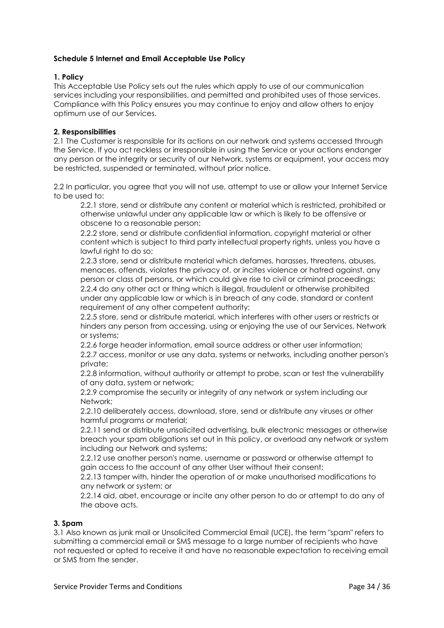# **Schedule 5 Internet and Email Acceptable Use Policy**

## **1. Policy**

This Acceptable Use Policy sets out the rules which apply to use of our communication services including your responsibilities, and permitted and prohibited uses of those services. Compliance with this Policy ensures you may continue to enjoy and allow others to enjoy optimum use of our Services.

# **2. Responsibilities**

2.1 The Customer is responsible for its actions on our network and systems accessed through the Service. If you act reckless or irresponsible in using the Service or your actions endanger any person or the integrity or security of our Network, systems or equipment, your access may be restricted, suspended or terminated, without prior notice.

2.2 In particular, you agree that you will not use, attempt to use or allow your Internet Service to be used to:

2.2.1 store, send or distribute any content or material which is restricted, prohibited or otherwise unlawful under any applicable law or which is likely to be offensive or obscene to a reasonable person;

2.2.2 store, send or distribute confidential information, copyright material or other content which is subject to third party intellectual property rights, unless you have a lawful right to do so;

2.2.3 store, send or distribute material which defames, harasses, threatens, abuses, menaces, offends, violates the privacy of, or incites violence or hatred against, any person or class of persons, or which could give rise to civil or criminal proceedings; 2.2.4 do any other act or thing which is illegal, fraudulent or otherwise prohibited under any applicable law or which is in breach of any code, standard or content requirement of any other competent authority;

2.2.5 store, send or distribute material, which interferes with other users or restricts or hinders any person from accessing, using or enjoying the use of our Services, Network or systems;

2.2.6 forge header information, email source address or other user information; 2.2.7 access, monitor or use any data, systems or networks, including another person's private;

2.2.8 information, without authority or attempt to probe, scan or test the vulnerability of any data, system or network;

2.2.9 compromise the security or integrity of any network or system including our Network;

2.2.10 deliberately access, download, store, send or distribute any viruses or other harmful programs or material;

2.2.11 send or distribute unsolicited advertising, bulk electronic messages or otherwise breach your spam obligations set out in this policy, or overload any network or system including our Network and systems;

2.2.12 use another person's name, username or password or otherwise attempt to gain access to the account of any other User without their consent;

2.2.13 tamper with, hinder the operation of or make unauthorised modifications to any network or system; or

2.2.14 aid, abet, encourage or incite any other person to do or attempt to do any of the above acts.

## **3. Spam**

3.1 Also known as junk mail or Unsolicited Commercial Email (UCE), the term "spam" refers to submitting a commercial email or SMS message to a large number of recipients who have not requested or opted to receive it and have no reasonable expectation to receiving email or SMS from the sender.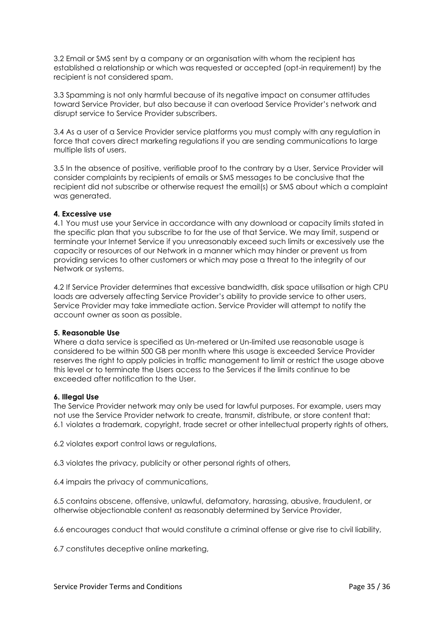3.2 Email or SMS sent by a company or an organisation with whom the recipient has established a relationship or which was requested or accepted (opt-in requirement) by the recipient is not considered spam.

3.3 Spamming is not only harmful because of its negative impact on consumer attitudes toward Service Provider, but also because it can overload Service Provider's network and disrupt service to Service Provider subscribers.

3.4 As a user of a Service Provider service platforms you must comply with any regulation in force that covers direct marketing regulations if you are sending communications to large multiple lists of users.

3.5 In the absence of positive, verifiable proof to the contrary by a User, Service Provider will consider complaints by recipients of emails or SMS messages to be conclusive that the recipient did not subscribe or otherwise request the email(s) or SMS about which a complaint was generated.

## **4. Excessive use**

4.1 You must use your Service in accordance with any download or capacity limits stated in the specific plan that you subscribe to for the use of that Service. We may limit, suspend or terminate your Internet Service if you unreasonably exceed such limits or excessively use the capacity or resources of our Network in a manner which may hinder or prevent us from providing services to other customers or which may pose a threat to the integrity of our Network or systems.

4.2 If Service Provider determines that excessive bandwidth, disk space utilisation or high CPU loads are adversely affecting Service Provider's ability to provide service to other users, Service Provider may take immediate action. Service Provider will attempt to notify the account owner as soon as possible.

#### **5. Reasonable Use**

Where a data service is specified as Un-metered or Un-limited use reasonable usage is considered to be within 500 GB per month where this usage is exceeded Service Provider reserves the right to apply policies in traffic management to limit or restrict the usage above this level or to terminate the Users access to the Services if the limits continue to be exceeded after notification to the User.

## **6. Illegal Use**

The Service Provider network may only be used for lawful purposes. For example, users may not use the Service Provider network to create, transmit, distribute, or store content that: 6.1 violates a trademark, copyright, trade secret or other intellectual property rights of others,

6.2 violates export control laws or regulations,

6.3 violates the privacy, publicity or other personal rights of others,

6.4 impairs the privacy of communications,

6.5 contains obscene, offensive, unlawful, defamatory, harassing, abusive, fraudulent, or otherwise objectionable content as reasonably determined by Service Provider,

6.6 encourages conduct that would constitute a criminal offense or give rise to civil liability,

6.7 constitutes deceptive online marketing,